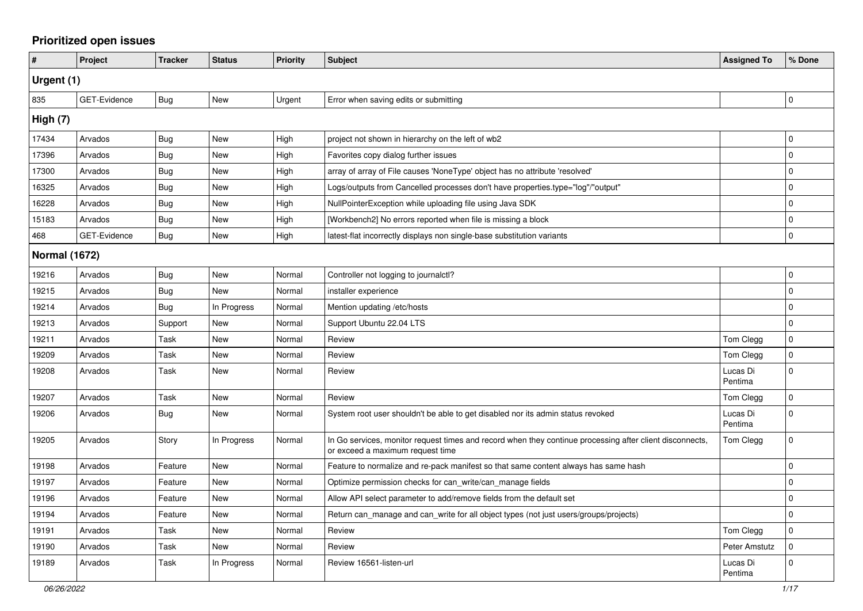## **Prioritized open issues**

| #                    | Project      | <b>Tracker</b> | <b>Status</b> | <b>Priority</b> | <b>Subject</b>                                                                                                                               | <b>Assigned To</b>  | % Done      |
|----------------------|--------------|----------------|---------------|-----------------|----------------------------------------------------------------------------------------------------------------------------------------------|---------------------|-------------|
| Urgent (1)           |              |                |               |                 |                                                                                                                                              |                     |             |
| 835                  | GET-Evidence | <b>Bug</b>     | New           | Urgent          | Error when saving edits or submitting                                                                                                        |                     | $\mathbf 0$ |
| High (7)             |              |                |               |                 |                                                                                                                                              |                     |             |
| 17434                | Arvados      | Bug            | <b>New</b>    | High            | project not shown in hierarchy on the left of wb2                                                                                            |                     | $\mathbf 0$ |
| 17396                | Arvados      | <b>Bug</b>     | New           | High            | Favorites copy dialog further issues                                                                                                         |                     | $\mathbf 0$ |
| 17300                | Arvados      | <b>Bug</b>     | <b>New</b>    | High            | array of array of File causes 'NoneType' object has no attribute 'resolved'                                                                  |                     | $\Omega$    |
| 16325                | Arvados      | <b>Bug</b>     | <b>New</b>    | High            | Logs/outputs from Cancelled processes don't have properties.type="log"/"output"                                                              |                     | $\Omega$    |
| 16228                | Arvados      | <b>Bug</b>     | <b>New</b>    | High            | NullPointerException while uploading file using Java SDK                                                                                     |                     | $\mathbf 0$ |
| 15183                | Arvados      | <b>Bug</b>     | <b>New</b>    | High            | [Workbench2] No errors reported when file is missing a block                                                                                 |                     | $\Omega$    |
| 468                  | GET-Evidence | Bug            | New           | High            | latest-flat incorrectly displays non single-base substitution variants                                                                       |                     | $\mathbf 0$ |
| <b>Normal (1672)</b> |              |                |               |                 |                                                                                                                                              |                     |             |
| 19216                | Arvados      | Bug            | New           | Normal          | Controller not logging to journalctl?                                                                                                        |                     | $\mathbf 0$ |
| 19215                | Arvados      | <b>Bug</b>     | New           | Normal          | installer experience                                                                                                                         |                     | $\Omega$    |
| 19214                | Arvados      | Bug            | In Progress   | Normal          | Mention updating /etc/hosts                                                                                                                  |                     | $\Omega$    |
| 19213                | Arvados      | Support        | <b>New</b>    | Normal          | Support Ubuntu 22.04 LTS                                                                                                                     |                     | $\Omega$    |
| 19211                | Arvados      | Task           | New           | Normal          | Review                                                                                                                                       | Tom Clegg           | $\mathsf 0$ |
| 19209                | Arvados      | Task           | <b>New</b>    | Normal          | Review                                                                                                                                       | Tom Clegg           | $\mathbf 0$ |
| 19208                | Arvados      | Task           | <b>New</b>    | Normal          | Review                                                                                                                                       | Lucas Di<br>Pentima | $\Omega$    |
| 19207                | Arvados      | <b>Task</b>    | <b>New</b>    | Normal          | Review                                                                                                                                       | Tom Clegg           | I٥          |
| 19206                | Arvados      | <b>Bug</b>     | New           | Normal          | System root user shouldn't be able to get disabled nor its admin status revoked                                                              | Lucas Di<br>Pentima | $\Omega$    |
| 19205                | Arvados      | Story          | In Progress   | Normal          | In Go services, monitor request times and record when they continue processing after client disconnects,<br>or exceed a maximum request time | Tom Clegg           | $\Omega$    |
| 19198                | Arvados      | Feature        | New           | Normal          | Feature to normalize and re-pack manifest so that same content always has same hash                                                          |                     | $\mathbf 0$ |
| 19197                | Arvados      | Feature        | <b>New</b>    | Normal          | Optimize permission checks for can_write/can_manage fields                                                                                   |                     | $\Omega$    |
| 19196                | Arvados      | Feature        | New           | Normal          | Allow API select parameter to add/remove fields from the default set                                                                         |                     | $\mathbf 0$ |
| 19194                | Arvados      | Feature        | New           | Normal          | Return can manage and can write for all object types (not just users/groups/projects)                                                        |                     | $\mathbf 0$ |
| 19191                | Arvados      | Task           | <b>New</b>    | Normal          | Review                                                                                                                                       | Tom Clegg           | $\Omega$    |
| 19190                | Arvados      | Task           | New           | Normal          | Review                                                                                                                                       | Peter Amstutz       | $\mathbf 0$ |
| 19189                | Arvados      | Task           | In Progress   | Normal          | Review 16561-listen-url                                                                                                                      | Lucas Di<br>Pentima | 0           |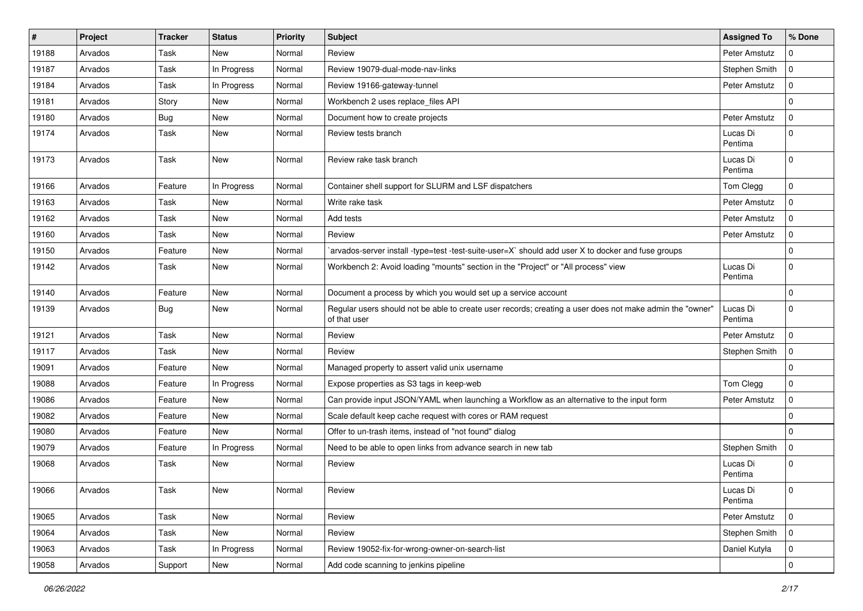| #     | Project | <b>Tracker</b> | <b>Status</b> | <b>Priority</b> | <b>Subject</b>                                                                                                           | <b>Assigned To</b>  | % Done       |
|-------|---------|----------------|---------------|-----------------|--------------------------------------------------------------------------------------------------------------------------|---------------------|--------------|
| 19188 | Arvados | Task           | New           | Normal          | Review                                                                                                                   | Peter Amstutz       | 0            |
| 19187 | Arvados | Task           | In Progress   | Normal          | Review 19079-dual-mode-nav-links                                                                                         | Stephen Smith       | $\mathbf 0$  |
| 19184 | Arvados | Task           | In Progress   | Normal          | Review 19166-gateway-tunnel                                                                                              | Peter Amstutz       | $\mathbf 0$  |
| 19181 | Arvados | Story          | New           | Normal          | Workbench 2 uses replace_files API                                                                                       |                     | $\mathbf 0$  |
| 19180 | Arvados | <b>Bug</b>     | <b>New</b>    | Normal          | Document how to create projects                                                                                          | Peter Amstutz       | $\mathbf 0$  |
| 19174 | Arvados | Task           | New           | Normal          | Review tests branch                                                                                                      | Lucas Di<br>Pentima | $\Omega$     |
| 19173 | Arvados | Task           | <b>New</b>    | Normal          | Review rake task branch                                                                                                  | Lucas Di<br>Pentima | $\Omega$     |
| 19166 | Arvados | Feature        | In Progress   | Normal          | Container shell support for SLURM and LSF dispatchers                                                                    | Tom Clegg           | $\mathbf 0$  |
| 19163 | Arvados | Task           | New           | Normal          | Write rake task                                                                                                          | Peter Amstutz       | $\mathbf 0$  |
| 19162 | Arvados | Task           | New           | Normal          | Add tests                                                                                                                | Peter Amstutz       | $\Omega$     |
| 19160 | Arvados | Task           | <b>New</b>    | Normal          | Review                                                                                                                   | Peter Amstutz       | 0            |
| 19150 | Arvados | Feature        | New           | Normal          | arvados-server install -type=test -test-suite-user=X` should add user X to docker and fuse groups                        |                     | $\Omega$     |
| 19142 | Arvados | Task           | New           | Normal          | Workbench 2: Avoid loading "mounts" section in the "Project" or "All process" view                                       | Lucas Di<br>Pentima | $\Omega$     |
| 19140 | Arvados | Feature        | New           | Normal          | Document a process by which you would set up a service account                                                           |                     | $\mathbf 0$  |
| 19139 | Arvados | Bug            | New           | Normal          | Regular users should not be able to create user records; creating a user does not make admin the "owner"<br>of that user | Lucas Di<br>Pentima | $\Omega$     |
| 19121 | Arvados | Task           | New           | Normal          | Review                                                                                                                   | Peter Amstutz       | $\mathbf 0$  |
| 19117 | Arvados | Task           | <b>New</b>    | Normal          | Review                                                                                                                   | Stephen Smith       | $\mathbf 0$  |
| 19091 | Arvados | Feature        | New           | Normal          | Managed property to assert valid unix username                                                                           |                     | 0            |
| 19088 | Arvados | Feature        | In Progress   | Normal          | Expose properties as S3 tags in keep-web                                                                                 | Tom Clegg           | $\mathbf 0$  |
| 19086 | Arvados | Feature        | New           | Normal          | Can provide input JSON/YAML when launching a Workflow as an alternative to the input form                                | Peter Amstutz       | $\mathbf 0$  |
| 19082 | Arvados | Feature        | <b>New</b>    | Normal          | Scale default keep cache request with cores or RAM request                                                               |                     | $\mathbf 0$  |
| 19080 | Arvados | Feature        | New           | Normal          | Offer to un-trash items, instead of "not found" dialog                                                                   |                     | $\Omega$     |
| 19079 | Arvados | Feature        | In Progress   | Normal          | Need to be able to open links from advance search in new tab                                                             | Stephen Smith       | $\mathbf 0$  |
| 19068 | Arvados | Task           | New           | Normal          | Review                                                                                                                   | Lucas Di<br>Pentima | $\Omega$     |
| 19066 | Arvados | Task           | New           | Normal          | Review                                                                                                                   | Lucas Di<br>Pentima | 0            |
| 19065 | Arvados | Task           | New           | Normal          | Review                                                                                                                   | Peter Amstutz       | l 0          |
| 19064 | Arvados | Task           | New           | Normal          | Review                                                                                                                   | Stephen Smith       | $\mathsf{O}$ |
| 19063 | Arvados | Task           | In Progress   | Normal          | Review 19052-fix-for-wrong-owner-on-search-list                                                                          | Daniel Kutyła       | $\mathsf{O}$ |
| 19058 | Arvados | Support        | New           | Normal          | Add code scanning to jenkins pipeline                                                                                    |                     | $\mathbf 0$  |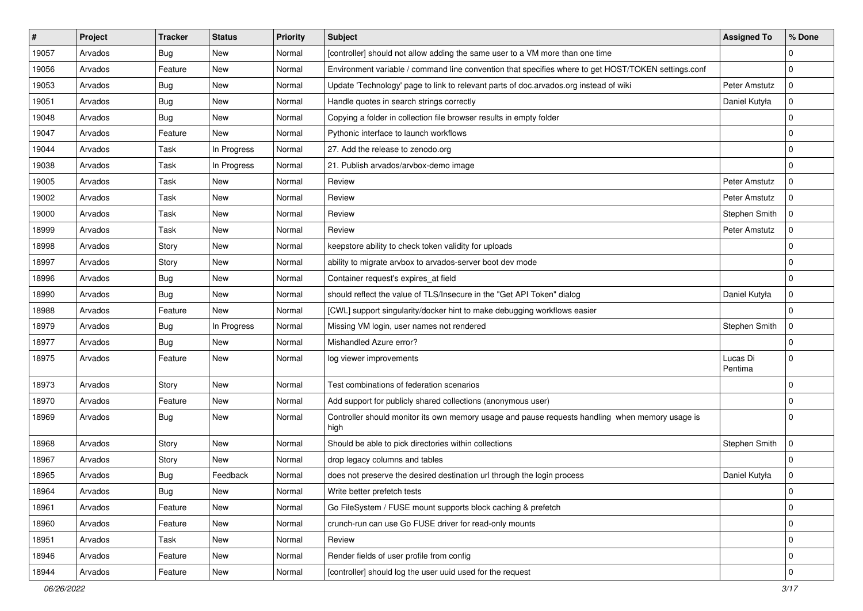| #     | Project | <b>Tracker</b> | <b>Status</b> | <b>Priority</b> | <b>Subject</b>                                                                                          | <b>Assigned To</b>  | % Done      |
|-------|---------|----------------|---------------|-----------------|---------------------------------------------------------------------------------------------------------|---------------------|-------------|
| 19057 | Arvados | <b>Bug</b>     | New           | Normal          | [controller] should not allow adding the same user to a VM more than one time                           |                     | 0           |
| 19056 | Arvados | Feature        | <b>New</b>    | Normal          | Environment variable / command line convention that specifies where to get HOST/TOKEN settings.conf     |                     | $\mathbf 0$ |
| 19053 | Arvados | <b>Bug</b>     | New           | Normal          | Update 'Technology' page to link to relevant parts of doc.arvados.org instead of wiki                   | Peter Amstutz       | $\mathbf 0$ |
| 19051 | Arvados | Bug            | New           | Normal          | Handle quotes in search strings correctly                                                               | Daniel Kutyła       | $\mathbf 0$ |
| 19048 | Arvados | <b>Bug</b>     | <b>New</b>    | Normal          | Copying a folder in collection file browser results in empty folder                                     |                     | 0           |
| 19047 | Arvados | Feature        | New           | Normal          | Pythonic interface to launch workflows                                                                  |                     | $\Omega$    |
| 19044 | Arvados | Task           | In Progress   | Normal          | 27. Add the release to zenodo.org                                                                       |                     | $\mathbf 0$ |
| 19038 | Arvados | Task           | In Progress   | Normal          | 21. Publish arvados/arvbox-demo image                                                                   |                     | $\mathbf 0$ |
| 19005 | Arvados | Task           | <b>New</b>    | Normal          | Review                                                                                                  | Peter Amstutz       | $\mathbf 0$ |
| 19002 | Arvados | Task           | <b>New</b>    | Normal          | Review                                                                                                  | Peter Amstutz       | $\mathbf 0$ |
| 19000 | Arvados | Task           | <b>New</b>    | Normal          | Review                                                                                                  | Stephen Smith       | $\mathbf 0$ |
| 18999 | Arvados | Task           | New           | Normal          | Review                                                                                                  | Peter Amstutz       | $\Omega$    |
| 18998 | Arvados | Story          | <b>New</b>    | Normal          | keepstore ability to check token validity for uploads                                                   |                     | $\mathbf 0$ |
| 18997 | Arvados | Story          | New           | Normal          | ability to migrate arvbox to arvados-server boot dev mode                                               |                     | $\mathbf 0$ |
| 18996 | Arvados | <b>Bug</b>     | <b>New</b>    | Normal          | Container request's expires_at field                                                                    |                     | $\mathbf 0$ |
| 18990 | Arvados | Bug            | <b>New</b>    | Normal          | should reflect the value of TLS/Insecure in the "Get API Token" dialog                                  | Daniel Kutyła       | $\mathbf 0$ |
| 18988 | Arvados | Feature        | New           | Normal          | [CWL] support singularity/docker hint to make debugging workflows easier                                |                     | $\mathbf 0$ |
| 18979 | Arvados | <b>Bug</b>     | In Progress   | Normal          | Missing VM login, user names not rendered                                                               | Stephen Smith       | $\mathbf 0$ |
| 18977 | Arvados | Bug            | New           | Normal          | Mishandled Azure error?                                                                                 |                     | $\Omega$    |
| 18975 | Arvados | Feature        | <b>New</b>    | Normal          | log viewer improvements                                                                                 | Lucas Di<br>Pentima | $\mathbf 0$ |
| 18973 | Arvados | Story          | New           | Normal          | Test combinations of federation scenarios                                                               |                     | $\mathbf 0$ |
| 18970 | Arvados | Feature        | <b>New</b>    | Normal          | Add support for publicly shared collections (anonymous user)                                            |                     | $\mathbf 0$ |
| 18969 | Arvados | <b>Bug</b>     | <b>New</b>    | Normal          | Controller should monitor its own memory usage and pause requests handling when memory usage is<br>high |                     | $\Omega$    |
| 18968 | Arvados | Story          | New           | Normal          | Should be able to pick directories within collections                                                   | Stephen Smith       | $\mathbf 0$ |
| 18967 | Arvados | Story          | <b>New</b>    | Normal          | drop legacy columns and tables                                                                          |                     | $\mathbf 0$ |
| 18965 | Arvados | <b>Bug</b>     | Feedback      | Normal          | does not preserve the desired destination url through the login process                                 | Daniel Kutyła       | $\mathbf 0$ |
| 18964 | Arvados | <b>Bug</b>     | New           | Normal          | Write better prefetch tests                                                                             |                     | $\pmb{0}$   |
| 18961 | Arvados | Feature        | New           | Normal          | Go FileSystem / FUSE mount supports block caching & prefetch                                            |                     | $\mathbf 0$ |
| 18960 | Arvados | Feature        | New           | Normal          | crunch-run can use Go FUSE driver for read-only mounts                                                  |                     | $\mathbf 0$ |
| 18951 | Arvados | Task           | New           | Normal          | Review                                                                                                  |                     | 0           |
| 18946 | Arvados | Feature        | New           | Normal          | Render fields of user profile from config                                                               |                     | $\mathbf 0$ |
| 18944 | Arvados | Feature        | New           | Normal          | [controller] should log the user uuid used for the request                                              |                     | 0           |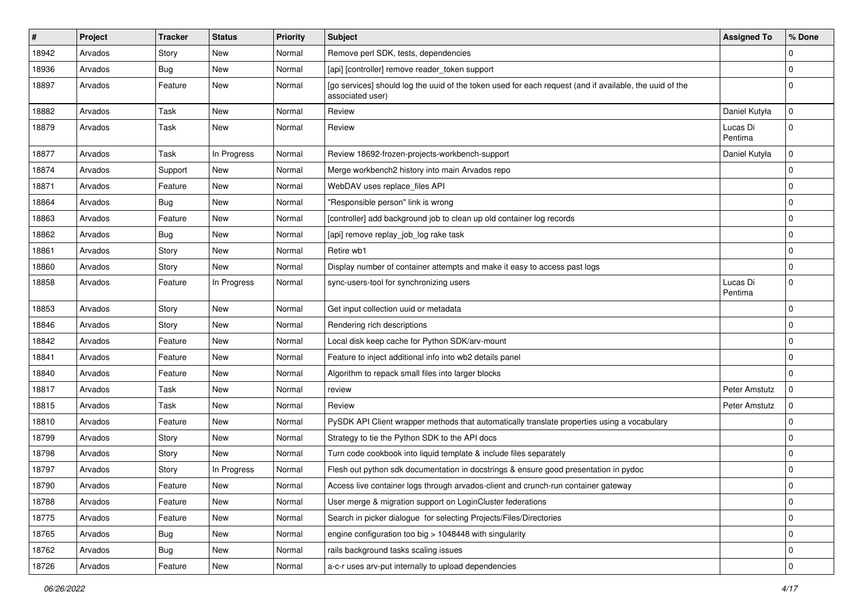| #     | Project | <b>Tracker</b> | <b>Status</b> | <b>Priority</b> | <b>Subject</b>                                                                                                              | <b>Assigned To</b>  | % Done         |
|-------|---------|----------------|---------------|-----------------|-----------------------------------------------------------------------------------------------------------------------------|---------------------|----------------|
| 18942 | Arvados | Story          | New           | Normal          | Remove perl SDK, tests, dependencies                                                                                        |                     | 0              |
| 18936 | Arvados | Bug            | <b>New</b>    | Normal          | [api] [controller] remove reader_token support                                                                              |                     | $\Omega$       |
| 18897 | Arvados | Feature        | New           | Normal          | [go services] should log the uuid of the token used for each request (and if available, the uuid of the<br>associated user) |                     | $\Omega$       |
| 18882 | Arvados | <b>Task</b>    | <b>New</b>    | Normal          | Review                                                                                                                      | Daniel Kutyła       | $\mathbf 0$    |
| 18879 | Arvados | Task           | <b>New</b>    | Normal          | Review                                                                                                                      | Lucas Di<br>Pentima | $\Omega$       |
| 18877 | Arvados | Task           | In Progress   | Normal          | Review 18692-frozen-projects-workbench-support                                                                              | Daniel Kutyła       | $\mathbf 0$    |
| 18874 | Arvados | Support        | <b>New</b>    | Normal          | Merge workbench2 history into main Arvados repo                                                                             |                     | $\mathbf 0$    |
| 18871 | Arvados | Feature        | <b>New</b>    | Normal          | WebDAV uses replace_files API                                                                                               |                     | $\Omega$       |
| 18864 | Arvados | <b>Bug</b>     | New           | Normal          | "Responsible person" link is wrong                                                                                          |                     | $\overline{0}$ |
| 18863 | Arvados | Feature        | New           | Normal          | [controller] add background job to clean up old container log records                                                       |                     | $\overline{0}$ |
| 18862 | Arvados | Bug            | <b>New</b>    | Normal          | [api] remove replay_job_log rake task                                                                                       |                     | $\overline{0}$ |
| 18861 | Arvados | Story          | <b>New</b>    | Normal          | Retire wb1                                                                                                                  |                     | $\mathbf 0$    |
| 18860 | Arvados | Story          | <b>New</b>    | Normal          | Display number of container attempts and make it easy to access past logs                                                   |                     | $\Omega$       |
| 18858 | Arvados | Feature        | In Progress   | Normal          | sync-users-tool for synchronizing users                                                                                     | Lucas Di<br>Pentima | 0              |
| 18853 | Arvados | Story          | <b>New</b>    | Normal          | Get input collection uuid or metadata                                                                                       |                     | 0              |
| 18846 | Arvados | Story          | <b>New</b>    | Normal          | Rendering rich descriptions                                                                                                 |                     | $\mathbf 0$    |
| 18842 | Arvados | Feature        | New           | Normal          | Local disk keep cache for Python SDK/arv-mount                                                                              |                     | $\overline{0}$ |
| 18841 | Arvados | Feature        | <b>New</b>    | Normal          | Feature to inject additional info into wb2 details panel                                                                    |                     | 0              |
| 18840 | Arvados | Feature        | New           | Normal          | Algorithm to repack small files into larger blocks                                                                          |                     | $\Omega$       |
| 18817 | Arvados | Task           | <b>New</b>    | Normal          | review                                                                                                                      | Peter Amstutz       | $\mathbf 0$    |
| 18815 | Arvados | Task           | New           | Normal          | Review                                                                                                                      | Peter Amstutz       | 0              |
| 18810 | Arvados | Feature        | New           | Normal          | PySDK API Client wrapper methods that automatically translate properties using a vocabulary                                 |                     | $\overline{0}$ |
| 18799 | Arvados | Story          | <b>New</b>    | Normal          | Strategy to tie the Python SDK to the API docs                                                                              |                     | 0              |
| 18798 | Arvados | Story          | <b>New</b>    | Normal          | Turn code cookbook into liquid template & include files separately                                                          |                     | $\Omega$       |
| 18797 | Arvados | Story          | In Progress   | Normal          | Flesh out python sdk documentation in docstrings & ensure good presentation in pydoc                                        |                     | $\overline{0}$ |
| 18790 | Arvados | Feature        | New           | Normal          | Access live container logs through arvados-client and crunch-run container gateway                                          |                     | $\Omega$       |
| 18788 | Arvados | Feature        | New           | Normal          | User merge & migration support on LoginCluster federations                                                                  |                     | $\mathbf 0$    |
| 18775 | Arvados | Feature        | New           | Normal          | Search in picker dialogue for selecting Projects/Files/Directories                                                          |                     | $\mathbf 0$    |
| 18765 | Arvados | <b>Bug</b>     | New           | Normal          | engine configuration too big > 1048448 with singularity                                                                     |                     | $\mathbf 0$    |
| 18762 | Arvados | <b>Bug</b>     | New           | Normal          | rails background tasks scaling issues                                                                                       |                     | $\mathbf 0$    |
| 18726 | Arvados | Feature        | New           | Normal          | a-c-r uses arv-put internally to upload dependencies                                                                        |                     | $\mathbf 0$    |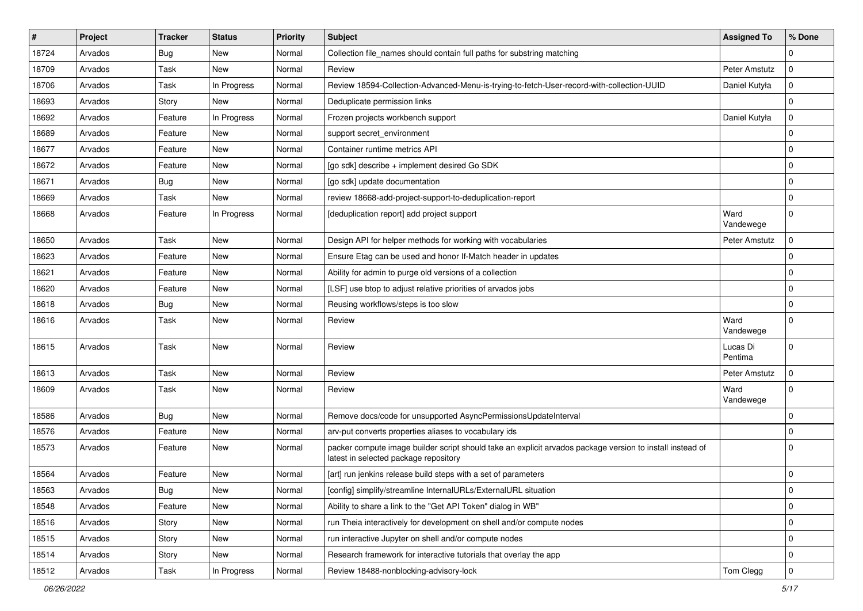| $\vert$ # | Project | <b>Tracker</b> | <b>Status</b> | Priority | <b>Subject</b>                                                                                                                                     | <b>Assigned To</b>  | % Done      |
|-----------|---------|----------------|---------------|----------|----------------------------------------------------------------------------------------------------------------------------------------------------|---------------------|-------------|
| 18724     | Arvados | <b>Bug</b>     | New           | Normal   | Collection file names should contain full paths for substring matching                                                                             |                     | 0           |
| 18709     | Arvados | Task           | New           | Normal   | Review                                                                                                                                             | Peter Amstutz       | $\mathbf 0$ |
| 18706     | Arvados | Task           | In Progress   | Normal   | Review 18594-Collection-Advanced-Menu-is-trying-to-fetch-User-record-with-collection-UUID                                                          | Daniel Kutyła       | 0           |
| 18693     | Arvados | Story          | New           | Normal   | Deduplicate permission links                                                                                                                       |                     | $\mathbf 0$ |
| 18692     | Arvados | Feature        | In Progress   | Normal   | Frozen projects workbench support                                                                                                                  | Daniel Kutyła       | $\mathbf 0$ |
| 18689     | Arvados | Feature        | New           | Normal   | support secret environment                                                                                                                         |                     | $\mathbf 0$ |
| 18677     | Arvados | Feature        | New           | Normal   | Container runtime metrics API                                                                                                                      |                     | $\mathbf 0$ |
| 18672     | Arvados | Feature        | New           | Normal   | [go sdk] describe + implement desired Go SDK                                                                                                       |                     | $\mathbf 0$ |
| 18671     | Arvados | <b>Bug</b>     | New           | Normal   | [go sdk] update documentation                                                                                                                      |                     | 0           |
| 18669     | Arvados | Task           | New           | Normal   | review 18668-add-project-support-to-deduplication-report                                                                                           |                     | $\mathbf 0$ |
| 18668     | Arvados | Feature        | In Progress   | Normal   | [deduplication report] add project support                                                                                                         | Ward<br>Vandewege   | $\mathbf 0$ |
| 18650     | Arvados | Task           | New           | Normal   | Design API for helper methods for working with vocabularies                                                                                        | Peter Amstutz       | 0           |
| 18623     | Arvados | Feature        | New           | Normal   | Ensure Etag can be used and honor If-Match header in updates                                                                                       |                     | $\mathbf 0$ |
| 18621     | Arvados | Feature        | New           | Normal   | Ability for admin to purge old versions of a collection                                                                                            |                     | $\mathbf 0$ |
| 18620     | Arvados | Feature        | New           | Normal   | [LSF] use btop to adjust relative priorities of arvados jobs                                                                                       |                     | 0           |
| 18618     | Arvados | <b>Bug</b>     | New           | Normal   | Reusing workflows/steps is too slow                                                                                                                |                     | $\mathbf 0$ |
| 18616     | Arvados | Task           | New           | Normal   | Review                                                                                                                                             | Ward<br>Vandewege   | 0           |
| 18615     | Arvados | Task           | New           | Normal   | Review                                                                                                                                             | Lucas Di<br>Pentima | $\mathbf 0$ |
| 18613     | Arvados | Task           | New           | Normal   | Review                                                                                                                                             | Peter Amstutz       | $\Omega$    |
| 18609     | Arvados | Task           | New           | Normal   | Review                                                                                                                                             | Ward<br>Vandewege   | $\Omega$    |
| 18586     | Arvados | <b>Bug</b>     | New           | Normal   | Remove docs/code for unsupported AsyncPermissionsUpdateInterval                                                                                    |                     | $\mathbf 0$ |
| 18576     | Arvados | Feature        | New           | Normal   | arv-put converts properties aliases to vocabulary ids                                                                                              |                     | $\mathbf 0$ |
| 18573     | Arvados | Feature        | New           | Normal   | packer compute image builder script should take an explicit arvados package version to install instead of<br>latest in selected package repository |                     | $\Omega$    |
| 18564     | Arvados | Feature        | New           | Normal   | [art] run jenkins release build steps with a set of parameters                                                                                     |                     | $\mathbf 0$ |
| 18563     | Arvados | Bug            | New           | Normal   | [config] simplify/streamline InternalURLs/ExternalURL situation                                                                                    |                     | 0           |
| 18548     | Arvados | Feature        | New           | Normal   | Ability to share a link to the "Get API Token" dialog in WB"                                                                                       |                     | 0           |
| 18516     | Arvados | Story          | New           | Normal   | run Theia interactively for development on shell and/or compute nodes                                                                              |                     | 0           |
| 18515     | Arvados | Story          | New           | Normal   | run interactive Jupyter on shell and/or compute nodes                                                                                              |                     | 0           |
| 18514     | Arvados | Story          | New           | Normal   | Research framework for interactive tutorials that overlay the app                                                                                  |                     | 0           |
| 18512     | Arvados | Task           | In Progress   | Normal   | Review 18488-nonblocking-advisory-lock                                                                                                             | Tom Clegg           | $\pmb{0}$   |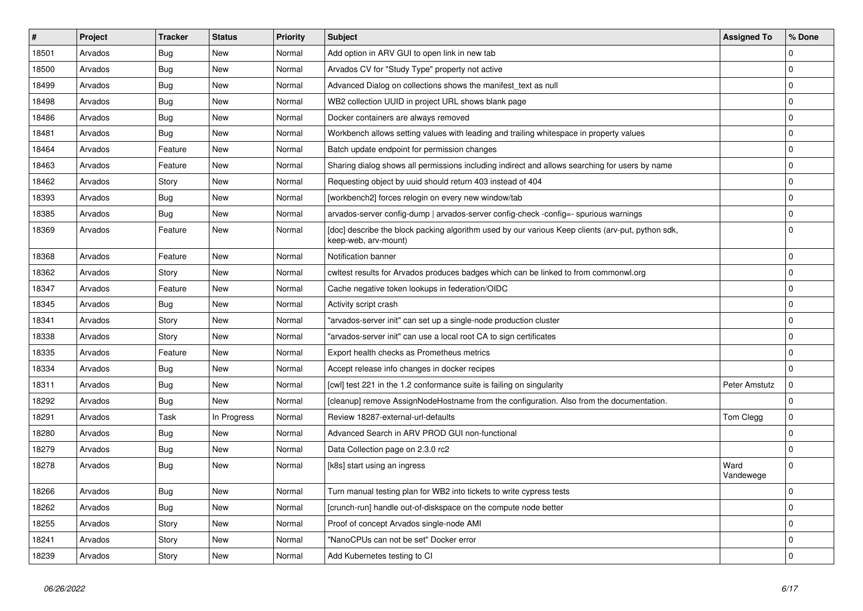| #     | Project | <b>Tracker</b> | <b>Status</b> | <b>Priority</b> | <b>Subject</b>                                                                                                            | <b>Assigned To</b> | % Done      |
|-------|---------|----------------|---------------|-----------------|---------------------------------------------------------------------------------------------------------------------------|--------------------|-------------|
| 18501 | Arvados | Bug            | New           | Normal          | Add option in ARV GUI to open link in new tab                                                                             |                    | $\Omega$    |
| 18500 | Arvados | <b>Bug</b>     | <b>New</b>    | Normal          | Arvados CV for "Study Type" property not active                                                                           |                    | $\Omega$    |
| 18499 | Arvados | Bug            | New           | Normal          | Advanced Dialog on collections shows the manifest_text as null                                                            |                    | $\mathbf 0$ |
| 18498 | Arvados | <b>Bug</b>     | New           | Normal          | WB2 collection UUID in project URL shows blank page                                                                       |                    | $\mathbf 0$ |
| 18486 | Arvados | Bug            | <b>New</b>    | Normal          | Docker containers are always removed                                                                                      |                    | $\mathbf 0$ |
| 18481 | Arvados | Bug            | New           | Normal          | Workbench allows setting values with leading and trailing whitespace in property values                                   |                    | $\Omega$    |
| 18464 | Arvados | Feature        | New           | Normal          | Batch update endpoint for permission changes                                                                              |                    | $\mathbf 0$ |
| 18463 | Arvados | Feature        | New           | Normal          | Sharing dialog shows all permissions including indirect and allows searching for users by name                            |                    | 0           |
| 18462 | Arvados | Story          | New           | Normal          | Requesting object by uuid should return 403 instead of 404                                                                |                    | 0           |
| 18393 | Arvados | Bug            | New           | Normal          | [workbench2] forces relogin on every new window/tab                                                                       |                    | $\Omega$    |
| 18385 | Arvados | <b>Bug</b>     | <b>New</b>    | Normal          | arvados-server config-dump   arvados-server config-check -config=- spurious warnings                                      |                    | $\mathbf 0$ |
| 18369 | Arvados | Feature        | <b>New</b>    | Normal          | [doc] describe the block packing algorithm used by our various Keep clients (arv-put, python sdk,<br>keep-web, arv-mount) |                    | $\Omega$    |
| 18368 | Arvados | Feature        | <b>New</b>    | Normal          | Notification banner                                                                                                       |                    | $\Omega$    |
| 18362 | Arvados | Story          | New           | Normal          | cwltest results for Arvados produces badges which can be linked to from commonwl.org                                      |                    | $\Omega$    |
| 18347 | Arvados | Feature        | <b>New</b>    | Normal          | Cache negative token lookups in federation/OIDC                                                                           |                    | $\mathbf 0$ |
| 18345 | Arvados | <b>Bug</b>     | <b>New</b>    | Normal          | Activity script crash                                                                                                     |                    | $\mathbf 0$ |
| 18341 | Arvados | Story          | <b>New</b>    | Normal          | "arvados-server init" can set up a single-node production cluster                                                         |                    | $\mathbf 0$ |
| 18338 | Arvados | Story          | New           | Normal          | "arvados-server init" can use a local root CA to sign certificates                                                        |                    | $\mathbf 0$ |
| 18335 | Arvados | Feature        | <b>New</b>    | Normal          | Export health checks as Prometheus metrics                                                                                |                    | $\mathbf 0$ |
| 18334 | Arvados | <b>Bug</b>     | <b>New</b>    | Normal          | Accept release info changes in docker recipes                                                                             |                    | $\Omega$    |
| 18311 | Arvados | Bug            | <b>New</b>    | Normal          | [cwl] test 221 in the 1.2 conformance suite is failing on singularity                                                     | Peter Amstutz      | $\Omega$    |
| 18292 | Arvados | <b>Bug</b>     | New           | Normal          | [cleanup] remove AssignNodeHostname from the configuration. Also from the documentation.                                  |                    | $\mathbf 0$ |
| 18291 | Arvados | Task           | In Progress   | Normal          | Review 18287-external-url-defaults                                                                                        | Tom Clegg          | $\mathbf 0$ |
| 18280 | Arvados | <b>Bug</b>     | <b>New</b>    | Normal          | Advanced Search in ARV PROD GUI non-functional                                                                            |                    | $\mathbf 0$ |
| 18279 | Arvados | Bug            | New           | Normal          | Data Collection page on 2.3.0 rc2                                                                                         |                    | $\mathbf 0$ |
| 18278 | Arvados | <b>Bug</b>     | New           | Normal          | [k8s] start using an ingress                                                                                              | Ward<br>Vandewege  | $\mathbf 0$ |
| 18266 | Arvados | <b>Bug</b>     | <b>New</b>    | Normal          | Turn manual testing plan for WB2 into tickets to write cypress tests                                                      |                    | $\Omega$    |
| 18262 | Arvados | <b>Bug</b>     | <b>New</b>    | Normal          | [crunch-run] handle out-of-diskspace on the compute node better                                                           |                    | $\mathbf 0$ |
| 18255 | Arvados | Story          | New           | Normal          | Proof of concept Arvados single-node AMI                                                                                  |                    | $\Omega$    |
| 18241 | Arvados | Story          | <b>New</b>    | Normal          | "NanoCPUs can not be set" Docker error                                                                                    |                    | $\mathbf 0$ |
| 18239 | Arvados | Story          | New           | Normal          | Add Kubernetes testing to CI                                                                                              |                    | $\Omega$    |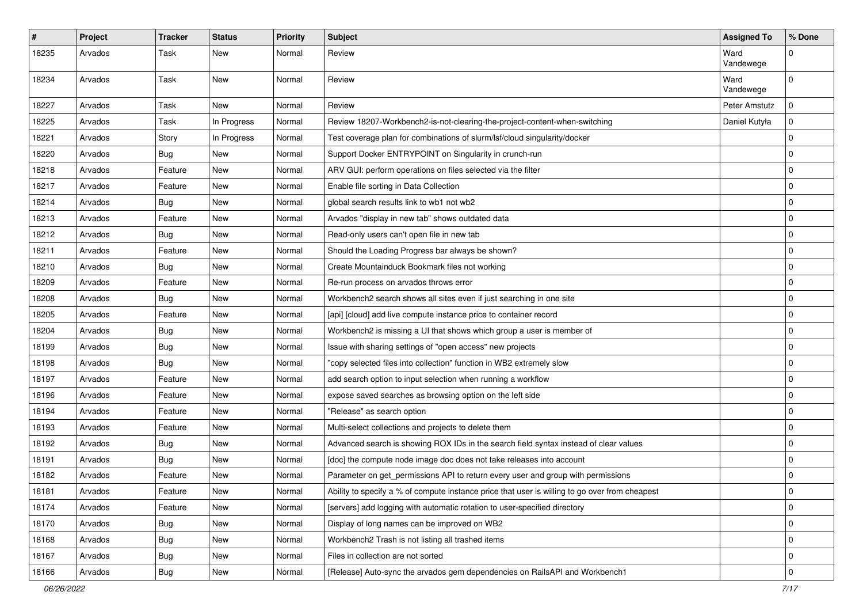| $\sharp$ | Project | <b>Tracker</b> | <b>Status</b> | <b>Priority</b> | <b>Subject</b>                                                                                 | <b>Assigned To</b> | % Done      |
|----------|---------|----------------|---------------|-----------------|------------------------------------------------------------------------------------------------|--------------------|-------------|
| 18235    | Arvados | Task           | New           | Normal          | Review                                                                                         | Ward<br>Vandewege  | $\Omega$    |
| 18234    | Arvados | Task           | <b>New</b>    | Normal          | Review                                                                                         | Ward<br>Vandewege  | $\Omega$    |
| 18227    | Arvados | Task           | <b>New</b>    | Normal          | Review                                                                                         | Peter Amstutz      | $\Omega$    |
| 18225    | Arvados | Task           | In Progress   | Normal          | Review 18207-Workbench2-is-not-clearing-the-project-content-when-switching                     | Daniel Kutyła      | $\Omega$    |
| 18221    | Arvados | Story          | In Progress   | Normal          | Test coverage plan for combinations of slurm/lsf/cloud singularity/docker                      |                    | $\Omega$    |
| 18220    | Arvados | <b>Bug</b>     | New           | Normal          | Support Docker ENTRYPOINT on Singularity in crunch-run                                         |                    | $\mathbf 0$ |
| 18218    | Arvados | Feature        | New           | Normal          | ARV GUI: perform operations on files selected via the filter                                   |                    | $\mathbf 0$ |
| 18217    | Arvados | Feature        | <b>New</b>    | Normal          | Enable file sorting in Data Collection                                                         |                    | $\mathbf 0$ |
| 18214    | Arvados | <b>Bug</b>     | New           | Normal          | global search results link to wb1 not wb2                                                      |                    | $\mathbf 0$ |
| 18213    | Arvados | Feature        | New           | Normal          | Arvados "display in new tab" shows outdated data                                               |                    | $\mathbf 0$ |
| 18212    | Arvados | <b>Bug</b>     | New           | Normal          | Read-only users can't open file in new tab                                                     |                    | $\mathbf 0$ |
| 18211    | Arvados | Feature        | <b>New</b>    | Normal          | Should the Loading Progress bar always be shown?                                               |                    | $\mathbf 0$ |
| 18210    | Arvados | <b>Bug</b>     | <b>New</b>    | Normal          | Create Mountainduck Bookmark files not working                                                 |                    | $\mathbf 0$ |
| 18209    | Arvados | Feature        | <b>New</b>    | Normal          | Re-run process on arvados throws error                                                         |                    | $\mathbf 0$ |
| 18208    | Arvados | <b>Bug</b>     | <b>New</b>    | Normal          | Workbench2 search shows all sites even if just searching in one site                           |                    | $\mathbf 0$ |
| 18205    | Arvados | Feature        | <b>New</b>    | Normal          | [api] [cloud] add live compute instance price to container record                              |                    | $\mathbf 0$ |
| 18204    | Arvados | Bug            | New           | Normal          | Workbench2 is missing a UI that shows which group a user is member of                          |                    | $\mathbf 0$ |
| 18199    | Arvados | <b>Bug</b>     | <b>New</b>    | Normal          | Issue with sharing settings of "open access" new projects                                      |                    | $\mathbf 0$ |
| 18198    | Arvados | <b>Bug</b>     | New           | Normal          | "copy selected files into collection" function in WB2 extremely slow                           |                    | $\mathbf 0$ |
| 18197    | Arvados | Feature        | New           | Normal          | add search option to input selection when running a workflow                                   |                    | $\mathbf 0$ |
| 18196    | Arvados | Feature        | <b>New</b>    | Normal          | expose saved searches as browsing option on the left side                                      |                    | $\mathbf 0$ |
| 18194    | Arvados | Feature        | New           | Normal          | "Release" as search option                                                                     |                    | $\mathbf 0$ |
| 18193    | Arvados | Feature        | <b>New</b>    | Normal          | Multi-select collections and projects to delete them                                           |                    | $\mathbf 0$ |
| 18192    | Arvados | <b>Bug</b>     | New           | Normal          | Advanced search is showing ROX IDs in the search field syntax instead of clear values          |                    | $\mathbf 0$ |
| 18191    | Arvados | <b>Bug</b>     | New           | Normal          | [doc] the compute node image doc does not take releases into account                           |                    | $\mathbf 0$ |
| 18182    | Arvados | Feature        | <b>New</b>    | Normal          | Parameter on get_permissions API to return every user and group with permissions               |                    | $\Omega$    |
| 18181    | Arvados | Feature        | New           | Normal          | Ability to specify a % of compute instance price that user is willing to go over from cheapest |                    | 0           |
| 18174    | Arvados | Feature        | New           | Normal          | [servers] add logging with automatic rotation to user-specified directory                      |                    | $\mathbf 0$ |
| 18170    | Arvados | <b>Bug</b>     | New           | Normal          | Display of long names can be improved on WB2                                                   |                    | $\mathbf 0$ |
| 18168    | Arvados | <b>Bug</b>     | New           | Normal          | Workbench2 Trash is not listing all trashed items                                              |                    | $\mathbf 0$ |
| 18167    | Arvados | <b>Bug</b>     | New           | Normal          | Files in collection are not sorted                                                             |                    | $\mathbf 0$ |
| 18166    | Arvados | <b>Bug</b>     | New           | Normal          | [Release] Auto-sync the arvados gem dependencies on RailsAPI and Workbench1                    |                    | $\mathbf 0$ |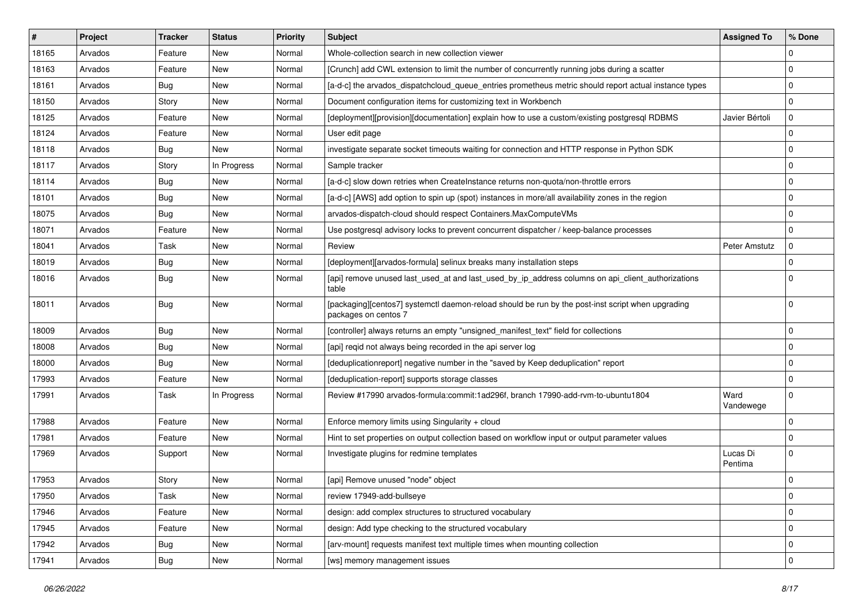| #     | Project | <b>Tracker</b> | <b>Status</b> | <b>Priority</b> | <b>Subject</b>                                                                                                            | <b>Assigned To</b>  | % Done      |
|-------|---------|----------------|---------------|-----------------|---------------------------------------------------------------------------------------------------------------------------|---------------------|-------------|
| 18165 | Arvados | Feature        | New           | Normal          | Whole-collection search in new collection viewer                                                                          |                     | $\Omega$    |
| 18163 | Arvados | Feature        | <b>New</b>    | Normal          | [Crunch] add CWL extension to limit the number of concurrently running jobs during a scatter                              |                     | $\mathbf 0$ |
| 18161 | Arvados | <b>Bug</b>     | New           | Normal          | [a-d-c] the arvados dispatchcloud queue entries prometheus metric should report actual instance types                     |                     | 0           |
| 18150 | Arvados | Story          | New           | Normal          | Document configuration items for customizing text in Workbench                                                            |                     | $\mathbf 0$ |
| 18125 | Arvados | Feature        | <b>New</b>    | Normal          | [deployment][provision][documentation] explain how to use a custom/existing postgresql RDBMS                              | Javier Bértoli      | 0           |
| 18124 | Arvados | Feature        | New           | Normal          | User edit page                                                                                                            |                     | $\Omega$    |
| 18118 | Arvados | <b>Bug</b>     | <b>New</b>    | Normal          | investigate separate socket timeouts waiting for connection and HTTP response in Python SDK                               |                     | $\mathbf 0$ |
| 18117 | Arvados | Story          | In Progress   | Normal          | Sample tracker                                                                                                            |                     | 0           |
| 18114 | Arvados | <b>Bug</b>     | <b>New</b>    | Normal          | [a-d-c] slow down retries when CreateInstance returns non-quota/non-throttle errors                                       |                     | $\Omega$    |
| 18101 | Arvados | <b>Bug</b>     | <b>New</b>    | Normal          | [a-d-c] [AWS] add option to spin up (spot) instances in more/all availability zones in the region                         |                     | 0           |
| 18075 | Arvados | <b>Bug</b>     | <b>New</b>    | Normal          | arvados-dispatch-cloud should respect Containers.MaxComputeVMs                                                            |                     | $\Omega$    |
| 18071 | Arvados | Feature        | New           | Normal          | Use postgresql advisory locks to prevent concurrent dispatcher / keep-balance processes                                   |                     | $\mathbf 0$ |
| 18041 | Arvados | Task           | New           | Normal          | Review                                                                                                                    | Peter Amstutz       | $\mathbf 0$ |
| 18019 | Arvados | <b>Bug</b>     | New           | Normal          | Ideployment][arvados-formula] selinux breaks many installation steps                                                      |                     | $\mathbf 0$ |
| 18016 | Arvados | <b>Bug</b>     | New           | Normal          | [api] remove unused last_used_at and last_used_by_ip_address columns on api_client_authorizations<br>table                |                     | $\Omega$    |
| 18011 | Arvados | <b>Bug</b>     | <b>New</b>    | Normal          | [packaging][centos7] systemctl daemon-reload should be run by the post-inst script when upgrading<br>packages on centos 7 |                     | $\Omega$    |
| 18009 | Arvados | <b>Bug</b>     | <b>New</b>    | Normal          | [controller] always returns an empty "unsigned manifest text" field for collections                                       |                     | $\mathbf 0$ |
| 18008 | Arvados | Bug            | <b>New</b>    | Normal          | [api] regid not always being recorded in the api server log                                                               |                     | $\mathbf 0$ |
| 18000 | Arvados | Bug            | New           | Normal          | [deduplicationreport] negative number in the "saved by Keep deduplication" report                                         |                     | $\mathbf 0$ |
| 17993 | Arvados | Feature        | New           | Normal          | [deduplication-report] supports storage classes                                                                           |                     | $\mathbf 0$ |
| 17991 | Arvados | Task           | In Progress   | Normal          | Review #17990 arvados-formula:commit:1ad296f, branch 17990-add-rvm-to-ubuntu1804                                          | Ward<br>Vandewege   | $\mathbf 0$ |
| 17988 | Arvados | Feature        | <b>New</b>    | Normal          | Enforce memory limits using Singularity + cloud                                                                           |                     | $\mathbf 0$ |
| 17981 | Arvados | Feature        | New           | Normal          | Hint to set properties on output collection based on workflow input or output parameter values                            |                     | $\mathbf 0$ |
| 17969 | Arvados | Support        | New           | Normal          | Investigate plugins for redmine templates                                                                                 | Lucas Di<br>Pentima | $\Omega$    |
| 17953 | Arvados | Story          | <b>New</b>    | Normal          | [api] Remove unused "node" object                                                                                         |                     | $\Omega$    |
| 17950 | Arvados | Task           | New           | Normal          | review 17949-add-bullseye                                                                                                 |                     | $\mathbf 0$ |
| 17946 | Arvados | Feature        | New           | Normal          | design: add complex structures to structured vocabulary                                                                   |                     | $\mathbf 0$ |
| 17945 | Arvados | Feature        | New           | Normal          | design: Add type checking to the structured vocabulary                                                                    |                     | $\mathbf 0$ |
| 17942 | Arvados | <b>Bug</b>     | New           | Normal          | [arv-mount] requests manifest text multiple times when mounting collection                                                |                     | $\mathbf 0$ |
| 17941 | Arvados | <b>Bug</b>     | New           | Normal          | [ws] memory management issues                                                                                             |                     | $\mathbf 0$ |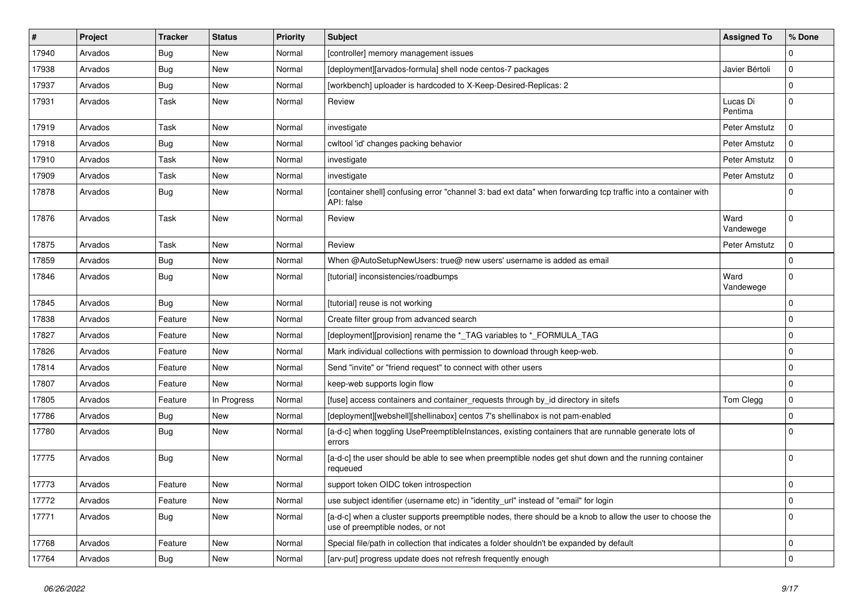| $\#$  | Project | <b>Tracker</b> | <b>Status</b> | <b>Priority</b> | <b>Subject</b>                                                                                                                                | <b>Assigned To</b>  | % Done      |
|-------|---------|----------------|---------------|-----------------|-----------------------------------------------------------------------------------------------------------------------------------------------|---------------------|-------------|
| 17940 | Arvados | <b>Bug</b>     | New           | Normal          | [controller] memory management issues                                                                                                         |                     | $\Omega$    |
| 17938 | Arvados | <b>Bug</b>     | New           | Normal          | [deployment][arvados-formula] shell node centos-7 packages                                                                                    | Javier Bértoli      | $\mathbf 0$ |
| 17937 | Arvados | <b>Bug</b>     | New           | Normal          | [workbench] uploader is hardcoded to X-Keep-Desired-Replicas: 2                                                                               |                     | $\Omega$    |
| 17931 | Arvados | Task           | New           | Normal          | Review                                                                                                                                        | Lucas Di<br>Pentima | $\mathbf 0$ |
| 17919 | Arvados | <b>Task</b>    | New           | Normal          | investigate                                                                                                                                   | Peter Amstutz       | $\Omega$    |
| 17918 | Arvados | <b>Bug</b>     | New           | Normal          | cwltool 'id' changes packing behavior                                                                                                         | Peter Amstutz       | $\mathbf 0$ |
| 17910 | Arvados | Task           | New           | Normal          | investigate                                                                                                                                   | Peter Amstutz       | $\mathbf 0$ |
| 17909 | Arvados | Task           | New           | Normal          | investigate                                                                                                                                   | Peter Amstutz       | $\Omega$    |
| 17878 | Arvados | <b>Bug</b>     | New           | Normal          | [container shell] confusing error "channel 3: bad ext data" when forwarding tcp traffic into a container with<br>API: false                   |                     | $\Omega$    |
| 17876 | Arvados | Task           | New           | Normal          | Review                                                                                                                                        | Ward<br>Vandewege   | $\mathbf 0$ |
| 17875 | Arvados | Task           | New           | Normal          | Review                                                                                                                                        | Peter Amstutz       | 0           |
| 17859 | Arvados | Bug            | New           | Normal          | When @AutoSetupNewUsers: true@ new users' username is added as email                                                                          |                     | $\mathbf 0$ |
| 17846 | Arvados | <b>Bug</b>     | New           | Normal          | [tutorial] inconsistencies/roadbumps                                                                                                          | Ward<br>Vandewege   | $\mathbf 0$ |
| 17845 | Arvados | <b>Bug</b>     | New           | Normal          | [tutorial] reuse is not working                                                                                                               |                     | $\mathbf 0$ |
| 17838 | Arvados | Feature        | New           | Normal          | Create filter group from advanced search                                                                                                      |                     | $\mathbf 0$ |
| 17827 | Arvados | Feature        | New           | Normal          | [deployment][provision] rename the *_TAG variables to *_FORMULA_TAG                                                                           |                     | $\mathbf 0$ |
| 17826 | Arvados | Feature        | New           | Normal          | Mark individual collections with permission to download through keep-web.                                                                     |                     | $\mathbf 0$ |
| 17814 | Arvados | Feature        | New           | Normal          | Send "invite" or "friend request" to connect with other users                                                                                 |                     | $\mathbf 0$ |
| 17807 | Arvados | Feature        | <b>New</b>    | Normal          | keep-web supports login flow                                                                                                                  |                     | $\mathbf 0$ |
| 17805 | Arvados | Feature        | In Progress   | Normal          | [fuse] access containers and container requests through by id directory in sitefs                                                             | Tom Clegg           | $\mathbf 0$ |
| 17786 | Arvados | <b>Bug</b>     | New           | Normal          | [deployment][webshell][shellinabox] centos 7's shellinabox is not pam-enabled                                                                 |                     | $\mathbf 0$ |
| 17780 | Arvados | <b>Bug</b>     | New           | Normal          | [a-d-c] when toggling UsePreemptibleInstances, existing containers that are runnable generate lots of<br>errors                               |                     | $\Omega$    |
| 17775 | Arvados | <b>Bug</b>     | New           | Normal          | [a-d-c] the user should be able to see when preemptible nodes get shut down and the running container<br>requeued                             |                     | $\mathbf 0$ |
| 17773 | Arvados | Feature        | New           | Normal          | support token OIDC token introspection                                                                                                        |                     | $\mathbf 0$ |
| 17772 | Arvados | Feature        | New           | Normal          | use subject identifier (username etc) in "identity_url" instead of "email" for login                                                          |                     | $\mathbf 0$ |
| 17771 | Arvados | <b>Bug</b>     | New           | Normal          | [a-d-c] when a cluster supports preemptible nodes, there should be a knob to allow the user to choose the<br>use of preemptible nodes, or not |                     | $\mathbf 0$ |
| 17768 | Arvados | Feature        | New           | Normal          | Special file/path in collection that indicates a folder shouldn't be expanded by default                                                      |                     | 0           |
| 17764 | Arvados | <b>Bug</b>     | New           | Normal          | [arv-put] progress update does not refresh frequently enough                                                                                  |                     | $\mathbf 0$ |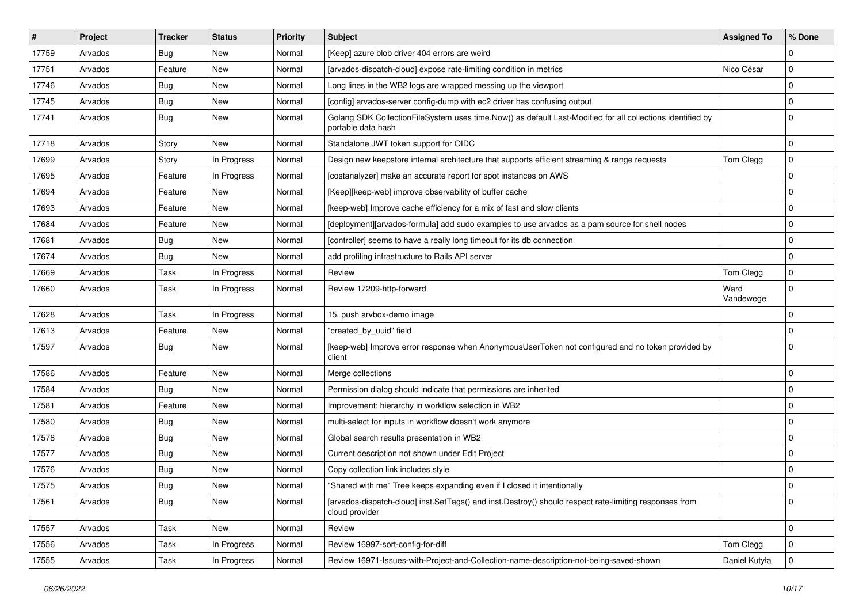| #     | Project | <b>Tracker</b> | <b>Status</b> | <b>Priority</b> | <b>Subject</b>                                                                                                                   | <b>Assigned To</b> | % Done         |
|-------|---------|----------------|---------------|-----------------|----------------------------------------------------------------------------------------------------------------------------------|--------------------|----------------|
| 17759 | Arvados | <b>Bug</b>     | New           | Normal          | [Keep] azure blob driver 404 errors are weird                                                                                    |                    | $\Omega$       |
| 17751 | Arvados | Feature        | New           | Normal          | [arvados-dispatch-cloud] expose rate-limiting condition in metrics                                                               | Nico César         | 0              |
| 17746 | Arvados | <b>Bug</b>     | New           | Normal          | Long lines in the WB2 logs are wrapped messing up the viewport                                                                   |                    | $\Omega$       |
| 17745 | Arvados | Bug            | New           | Normal          | [config] arvados-server config-dump with ec2 driver has confusing output                                                         |                    | $\mathbf 0$    |
| 17741 | Arvados | <b>Bug</b>     | <b>New</b>    | Normal          | Golang SDK CollectionFileSystem uses time.Now() as default Last-Modified for all collections identified by<br>portable data hash |                    | $\mathbf 0$    |
| 17718 | Arvados | Story          | <b>New</b>    | Normal          | Standalone JWT token support for OIDC                                                                                            |                    | $\mathbf 0$    |
| 17699 | Arvados | Story          | In Progress   | Normal          | Design new keepstore internal architecture that supports efficient streaming & range requests                                    | Tom Clegg          | 0              |
| 17695 | Arvados | Feature        | In Progress   | Normal          | [costanalyzer] make an accurate report for spot instances on AWS                                                                 |                    | $\mathbf 0$    |
| 17694 | Arvados | Feature        | New           | Normal          | [Keep][keep-web] improve observability of buffer cache                                                                           |                    | $\overline{0}$ |
| 17693 | Arvados | Feature        | New           | Normal          | [keep-web] Improve cache efficiency for a mix of fast and slow clients                                                           |                    | $\Omega$       |
| 17684 | Arvados | Feature        | New           | Normal          | [deployment][arvados-formula] add sudo examples to use arvados as a pam source for shell nodes                                   |                    | $\overline{0}$ |
| 17681 | Arvados | Bug            | New           | Normal          | [controller] seems to have a really long timeout for its db connection                                                           |                    | 0              |
| 17674 | Arvados | <b>Bug</b>     | New           | Normal          | add profiling infrastructure to Rails API server                                                                                 |                    | $\Omega$       |
| 17669 | Arvados | Task           | In Progress   | Normal          | Review                                                                                                                           | Tom Clegg          | 0              |
| 17660 | Arvados | Task           | In Progress   | Normal          | Review 17209-http-forward                                                                                                        | Ward<br>Vandewege  | $\mathbf 0$    |
| 17628 | Arvados | Task           | In Progress   | Normal          | 15. push arvbox-demo image                                                                                                       |                    | 0              |
| 17613 | Arvados | Feature        | New           | Normal          | "created_by_uuid" field                                                                                                          |                    | $\Omega$       |
| 17597 | Arvados | <b>Bug</b>     | New           | Normal          | [keep-web] Improve error response when AnonymousUserToken not configured and no token provided by<br>client                      |                    | $\Omega$       |
| 17586 | Arvados | Feature        | <b>New</b>    | Normal          | Merge collections                                                                                                                |                    | $\Omega$       |
| 17584 | Arvados | <b>Bug</b>     | New           | Normal          | Permission dialog should indicate that permissions are inherited                                                                 |                    | $\Omega$       |
| 17581 | Arvados | Feature        | New           | Normal          | Improvement: hierarchy in workflow selection in WB2                                                                              |                    | 0              |
| 17580 | Arvados | <b>Bug</b>     | New           | Normal          | multi-select for inputs in workflow doesn't work anymore                                                                         |                    | $\mathbf 0$    |
| 17578 | Arvados | <b>Bug</b>     | <b>New</b>    | Normal          | Global search results presentation in WB2                                                                                        |                    | 0              |
| 17577 | Arvados | <b>Bug</b>     | New           | Normal          | Current description not shown under Edit Project                                                                                 |                    | $\Omega$       |
| 17576 | Arvados | <b>Bug</b>     | New           | Normal          | Copy collection link includes style                                                                                              |                    | $\Omega$       |
| 17575 | Arvados | Bug            | New           | Normal          | "Shared with me" Tree keeps expanding even if I closed it intentionally                                                          |                    | $\Omega$       |
| 17561 | Arvados | Bug            | New           | Normal          | [arvados-dispatch-cloud] inst.SetTags() and inst.Destroy() should respect rate-limiting responses from<br>cloud provider         |                    | $\mathbf 0$    |
| 17557 | Arvados | Task           | New           | Normal          | Review                                                                                                                           |                    | $\mathbf 0$    |
| 17556 | Arvados | Task           | In Progress   | Normal          | Review 16997-sort-config-for-diff                                                                                                | Tom Clegg          | $\mathbf 0$    |
| 17555 | Arvados | Task           | In Progress   | Normal          | Review 16971-Issues-with-Project-and-Collection-name-description-not-being-saved-shown                                           | Daniel Kutyła      | $\mathbf 0$    |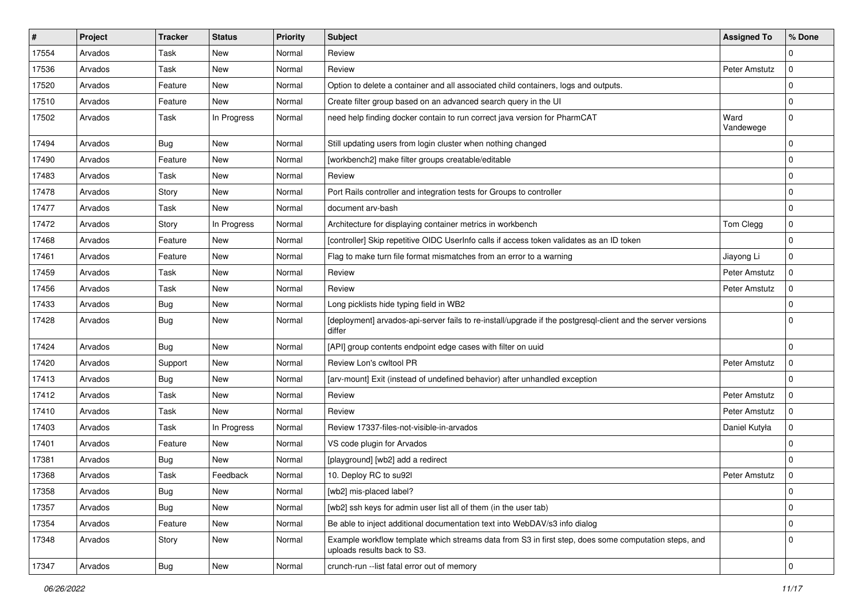| #     | Project | Tracker    | <b>Status</b> | <b>Priority</b> | <b>Subject</b>                                                                                                                      | <b>Assigned To</b> | % Done      |
|-------|---------|------------|---------------|-----------------|-------------------------------------------------------------------------------------------------------------------------------------|--------------------|-------------|
| 17554 | Arvados | Task       | New           | Normal          | Review                                                                                                                              |                    | 0           |
| 17536 | Arvados | Task       | <b>New</b>    | Normal          | Review                                                                                                                              | Peter Amstutz      | $\mathbf 0$ |
| 17520 | Arvados | Feature    | New           | Normal          | Option to delete a container and all associated child containers, logs and outputs.                                                 |                    | $\Omega$    |
| 17510 | Arvados | Feature    | New           | Normal          | Create filter group based on an advanced search query in the UI                                                                     |                    | $\mathbf 0$ |
| 17502 | Arvados | Task       | In Progress   | Normal          | need help finding docker contain to run correct java version for PharmCAT                                                           | Ward<br>Vandewege  | $\mathbf 0$ |
| 17494 | Arvados | <b>Bug</b> | <b>New</b>    | Normal          | Still updating users from login cluster when nothing changed                                                                        |                    | $\mathbf 0$ |
| 17490 | Arvados | Feature    | New           | Normal          | [workbench2] make filter groups creatable/editable                                                                                  |                    | $\mathbf 0$ |
| 17483 | Arvados | Task       | <b>New</b>    | Normal          | Review                                                                                                                              |                    | $\mathbf 0$ |
| 17478 | Arvados | Story      | <b>New</b>    | Normal          | Port Rails controller and integration tests for Groups to controller                                                                |                    | 0           |
| 17477 | Arvados | Task       | <b>New</b>    | Normal          | document arv-bash                                                                                                                   |                    | $\mathbf 0$ |
| 17472 | Arvados | Story      | In Progress   | Normal          | Architecture for displaying container metrics in workbench                                                                          | Tom Clegg          | $\mathbf 0$ |
| 17468 | Arvados | Feature    | New           | Normal          | [controller] Skip repetitive OIDC UserInfo calls if access token validates as an ID token                                           |                    | 0           |
| 17461 | Arvados | Feature    | New           | Normal          | Flag to make turn file format mismatches from an error to a warning                                                                 | Jiayong Li         | $\mathbf 0$ |
| 17459 | Arvados | Task       | <b>New</b>    | Normal          | Review                                                                                                                              | Peter Amstutz      | $\mathbf 0$ |
| 17456 | Arvados | Task       | <b>New</b>    | Normal          | Review                                                                                                                              | Peter Amstutz      | $\Omega$    |
| 17433 | Arvados | Bug        | New           | Normal          | Long picklists hide typing field in WB2                                                                                             |                    | $\mathbf 0$ |
| 17428 | Arvados | Bug        | <b>New</b>    | Normal          | [deployment] arvados-api-server fails to re-install/upgrade if the postgresql-client and the server versions<br>differ              |                    | $\mathbf 0$ |
| 17424 | Arvados | Bug        | <b>New</b>    | Normal          | [API] group contents endpoint edge cases with filter on uuid                                                                        |                    | $\mathbf 0$ |
| 17420 | Arvados | Support    | New           | Normal          | Review Lon's cwltool PR                                                                                                             | Peter Amstutz      | 0           |
| 17413 | Arvados | Bug        | New           | Normal          | [arv-mount] Exit (instead of undefined behavior) after unhandled exception                                                          |                    | $\Omega$    |
| 17412 | Arvados | Task       | <b>New</b>    | Normal          | Review                                                                                                                              | Peter Amstutz      | $\mathbf 0$ |
| 17410 | Arvados | Task       | <b>New</b>    | Normal          | Review                                                                                                                              | Peter Amstutz      | $\Omega$    |
| 17403 | Arvados | Task       | In Progress   | Normal          | Review 17337-files-not-visible-in-arvados                                                                                           | Daniel Kutyła      | $\mathbf 0$ |
| 17401 | Arvados | Feature    | New           | Normal          | VS code plugin for Arvados                                                                                                          |                    | $\Omega$    |
| 17381 | Arvados | Bug        | New           | Normal          | [playground] [wb2] add a redirect                                                                                                   |                    | $\Omega$    |
| 17368 | Arvados | Task       | Feedback      | Normal          | 10. Deploy RC to su92l                                                                                                              | Peter Amstutz      | 0           |
| 17358 | Arvados | Bug        | New           | Normal          | [wb2] mis-placed label?                                                                                                             |                    | 0           |
| 17357 | Arvados | <b>Bug</b> | New           | Normal          | [wb2] ssh keys for admin user list all of them (in the user tab)                                                                    |                    | $\mathbf 0$ |
| 17354 | Arvados | Feature    | New           | Normal          | Be able to inject additional documentation text into WebDAV/s3 info dialog                                                          |                    | $\mathbf 0$ |
| 17348 | Arvados | Story      | New           | Normal          | Example workflow template which streams data from S3 in first step, does some computation steps, and<br>uploads results back to S3. |                    | $\mathbf 0$ |
| 17347 | Arvados | <b>Bug</b> | New           | Normal          | crunch-run --list fatal error out of memory                                                                                         |                    | $\mathbf 0$ |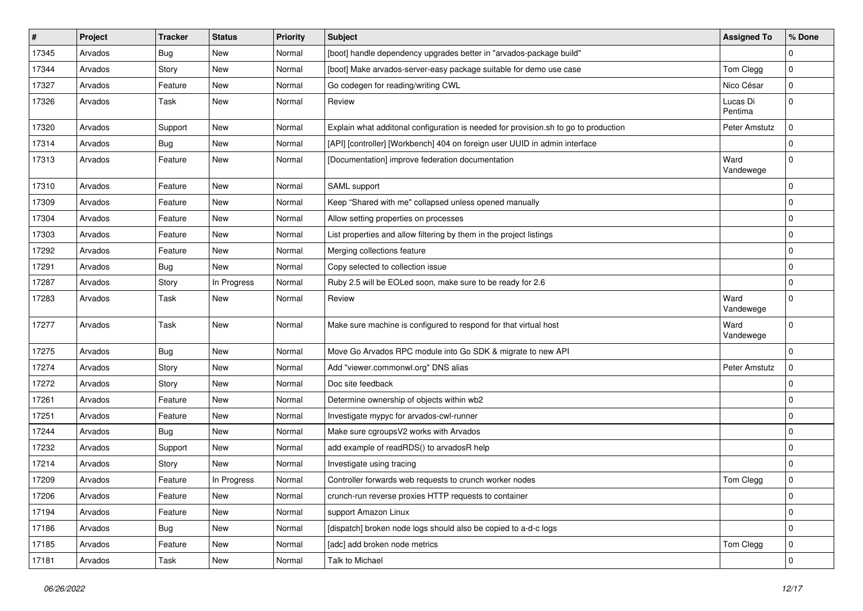| #     | Project | <b>Tracker</b> | <b>Status</b> | <b>Priority</b> | <b>Subject</b>                                                                      | <b>Assigned To</b>  | % Done         |
|-------|---------|----------------|---------------|-----------------|-------------------------------------------------------------------------------------|---------------------|----------------|
| 17345 | Arvados | <b>Bug</b>     | New           | Normal          | [boot] handle dependency upgrades better in "arvados-package build"                 |                     | 0              |
| 17344 | Arvados | Story          | <b>New</b>    | Normal          | [boot] Make arvados-server-easy package suitable for demo use case                  | Tom Clegg           | $\mathbf 0$    |
| 17327 | Arvados | Feature        | New           | Normal          | Go codegen for reading/writing CWL                                                  | Nico César          | $\mathbf 0$    |
| 17326 | Arvados | Task           | New           | Normal          | Review                                                                              | Lucas Di<br>Pentima | 0              |
| 17320 | Arvados | Support        | <b>New</b>    | Normal          | Explain what additonal configuration is needed for provision.sh to go to production | Peter Amstutz       | $\Omega$       |
| 17314 | Arvados | <b>Bug</b>     | New           | Normal          | [API] [controller] [Workbench] 404 on foreign user UUID in admin interface          |                     | $\mathbf 0$    |
| 17313 | Arvados | Feature        | <b>New</b>    | Normal          | [Documentation] improve federation documentation                                    | Ward<br>Vandewege   | $\mathbf 0$    |
| 17310 | Arvados | Feature        | New           | Normal          | SAML support                                                                        |                     | $\mathbf 0$    |
| 17309 | Arvados | Feature        | New           | Normal          | Keep "Shared with me" collapsed unless opened manually                              |                     | $\mathbf 0$    |
| 17304 | Arvados | Feature        | New           | Normal          | Allow setting properties on processes                                               |                     | $\mathbf 0$    |
| 17303 | Arvados | Feature        | <b>New</b>    | Normal          | List properties and allow filtering by them in the project listings                 |                     | $\mathbf 0$    |
| 17292 | Arvados | Feature        | New           | Normal          | Merging collections feature                                                         |                     | $\mathbf 0$    |
| 17291 | Arvados | <b>Bug</b>     | <b>New</b>    | Normal          | Copy selected to collection issue                                                   |                     | $\overline{0}$ |
| 17287 | Arvados | Story          | In Progress   | Normal          | Ruby 2.5 will be EOLed soon, make sure to be ready for 2.6                          |                     | $\mathbf 0$    |
| 17283 | Arvados | Task           | New           | Normal          | Review                                                                              | Ward<br>Vandewege   | $\mathbf 0$    |
| 17277 | Arvados | Task           | <b>New</b>    | Normal          | Make sure machine is configured to respond for that virtual host                    | Ward<br>Vandewege   | $\mathbf 0$    |
| 17275 | Arvados | Bug            | New           | Normal          | Move Go Arvados RPC module into Go SDK & migrate to new API                         |                     | $\mathbf 0$    |
| 17274 | Arvados | Story          | New           | Normal          | Add "viewer.commonwl.org" DNS alias                                                 | Peter Amstutz       | $\Omega$       |
| 17272 | Arvados | Story          | <b>New</b>    | Normal          | Doc site feedback                                                                   |                     | $\overline{0}$ |
| 17261 | Arvados | Feature        | New           | Normal          | Determine ownership of objects within wb2                                           |                     | $\mathbf 0$    |
| 17251 | Arvados | Feature        | New           | Normal          | Investigate mypyc for arvados-cwl-runner                                            |                     | $\mathbf 0$    |
| 17244 | Arvados | <b>Bug</b>     | <b>New</b>    | Normal          | Make sure cgroupsV2 works with Arvados                                              |                     | $\mathbf 0$    |
| 17232 | Arvados | Support        | New           | Normal          | add example of readRDS() to arvadosR help                                           |                     | $\Omega$       |
| 17214 | Arvados | Story          | New           | Normal          | Investigate using tracing                                                           |                     | $\overline{0}$ |
| 17209 | Arvados | Feature        | In Progress   | Normal          | Controller forwards web requests to crunch worker nodes                             | Tom Clegg           | 0              |
| 17206 | Arvados | Feature        | New           | Normal          | crunch-run reverse proxies HTTP requests to container                               |                     | $\vert$ 0      |
| 17194 | Arvados | Feature        | New           | Normal          | support Amazon Linux                                                                |                     | 0              |
| 17186 | Arvados | <b>Bug</b>     | New           | Normal          | [dispatch] broken node logs should also be copied to a-d-c logs                     |                     | $\mathbf 0$    |
| 17185 | Arvados | Feature        | New           | Normal          | [adc] add broken node metrics                                                       | Tom Clegg           | 0              |
| 17181 | Arvados | Task           | New           | Normal          | Talk to Michael                                                                     |                     | $\overline{0}$ |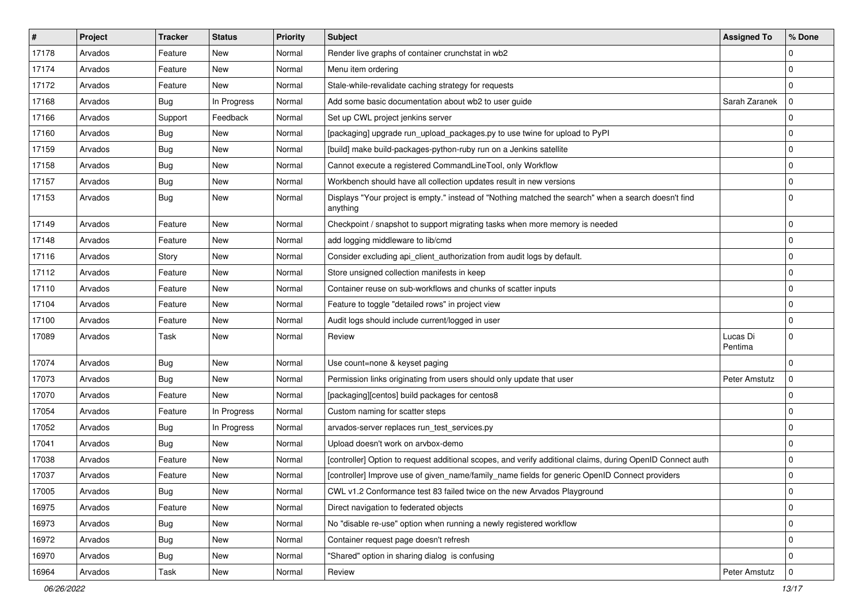| $\vert$ # | Project | <b>Tracker</b> | <b>Status</b> | <b>Priority</b> | <b>Subject</b>                                                                                                   | <b>Assigned To</b>  | % Done      |
|-----------|---------|----------------|---------------|-----------------|------------------------------------------------------------------------------------------------------------------|---------------------|-------------|
| 17178     | Arvados | Feature        | New           | Normal          | Render live graphs of container crunchstat in wb2                                                                |                     | $\Omega$    |
| 17174     | Arvados | Feature        | <b>New</b>    | Normal          | Menu item ordering                                                                                               |                     | $\Omega$    |
| 17172     | Arvados | Feature        | New           | Normal          | Stale-while-revalidate caching strategy for requests                                                             |                     | $\mathbf 0$ |
| 17168     | Arvados | Bug            | In Progress   | Normal          | Add some basic documentation about wb2 to user guide                                                             | Sarah Zaranek       | $\mathbf 0$ |
| 17166     | Arvados | Support        | Feedback      | Normal          | Set up CWL project jenkins server                                                                                |                     | $\mathbf 0$ |
| 17160     | Arvados | <b>Bug</b>     | New           | Normal          | [packaging] upgrade run_upload_packages.py to use twine for upload to PyPI                                       |                     | $\Omega$    |
| 17159     | Arvados | <b>Bug</b>     | <b>New</b>    | Normal          | [build] make build-packages-python-ruby run on a Jenkins satellite                                               |                     | $\Omega$    |
| 17158     | Arvados | <b>Bug</b>     | New           | Normal          | Cannot execute a registered CommandLineTool, only Workflow                                                       |                     | $\mathbf 0$ |
| 17157     | Arvados | Bug            | New           | Normal          | Workbench should have all collection updates result in new versions                                              |                     | $\Omega$    |
| 17153     | Arvados | <b>Bug</b>     | New           | Normal          | Displays "Your project is empty." instead of "Nothing matched the search" when a search doesn't find<br>anything |                     | $\Omega$    |
| 17149     | Arvados | Feature        | New           | Normal          | Checkpoint / snapshot to support migrating tasks when more memory is needed                                      |                     | $\mathbf 0$ |
| 17148     | Arvados | Feature        | New           | Normal          | add logging middleware to lib/cmd                                                                                |                     | $\mathbf 0$ |
| 17116     | Arvados | Story          | New           | Normal          | Consider excluding api_client_authorization from audit logs by default.                                          |                     | $\Omega$    |
| 17112     | Arvados | Feature        | <b>New</b>    | Normal          | Store unsigned collection manifests in keep                                                                      |                     | $\Omega$    |
| 17110     | Arvados | Feature        | New           | Normal          | Container reuse on sub-workflows and chunks of scatter inputs                                                    |                     | 0           |
| 17104     | Arvados | Feature        | New           | Normal          | Feature to toggle "detailed rows" in project view                                                                |                     | $\mathbf 0$ |
| 17100     | Arvados | Feature        | <b>New</b>    | Normal          | Audit logs should include current/logged in user                                                                 |                     | $\mathbf 0$ |
| 17089     | Arvados | Task           | New           | Normal          | Review                                                                                                           | Lucas Di<br>Pentima | $\Omega$    |
| 17074     | Arvados | Bug            | New           | Normal          | Use count=none & keyset paging                                                                                   |                     | 0           |
| 17073     | Arvados | <b>Bug</b>     | <b>New</b>    | Normal          | Permission links originating from users should only update that user                                             | Peter Amstutz       | $\Omega$    |
| 17070     | Arvados | Feature        | <b>New</b>    | Normal          | [packaging][centos] build packages for centos8                                                                   |                     | $\Omega$    |
| 17054     | Arvados | Feature        | In Progress   | Normal          | Custom naming for scatter steps                                                                                  |                     | 0           |
| 17052     | Arvados | <b>Bug</b>     | In Progress   | Normal          | arvados-server replaces run test services.py                                                                     |                     | $\mathbf 0$ |
| 17041     | Arvados | <b>Bug</b>     | <b>New</b>    | Normal          | Upload doesn't work on arvbox-demo                                                                               |                     | $\mathbf 0$ |
| 17038     | Arvados | Feature        | <b>New</b>    | Normal          | [controller] Option to request additional scopes, and verify additional claims, during OpenID Connect auth       |                     | $\Omega$    |
| 17037     | Arvados | Feature        | New           | Normal          | [controller] Improve use of given_name/family_name fields for generic OpenID Connect providers                   |                     | $\Omega$    |
| 17005     | Arvados | <b>Bug</b>     | New           | Normal          | CWL v1.2 Conformance test 83 failed twice on the new Arvados Playground                                          |                     | 0           |
| 16975     | Arvados | Feature        | New           | Normal          | Direct navigation to federated objects                                                                           |                     | 0           |
| 16973     | Arvados | <b>Bug</b>     | New           | Normal          | No "disable re-use" option when running a newly registered workflow                                              |                     | $\mathbf 0$ |
| 16972     | Arvados | <b>Bug</b>     | New           | Normal          | Container request page doesn't refresh                                                                           |                     | $\mathbf 0$ |
| 16970     | Arvados | <b>Bug</b>     | New           | Normal          | "Shared" option in sharing dialog is confusing                                                                   |                     | $\mathbf 0$ |
| 16964     | Arvados | Task           | New           | Normal          | Review                                                                                                           | Peter Amstutz       | $\mathbf 0$ |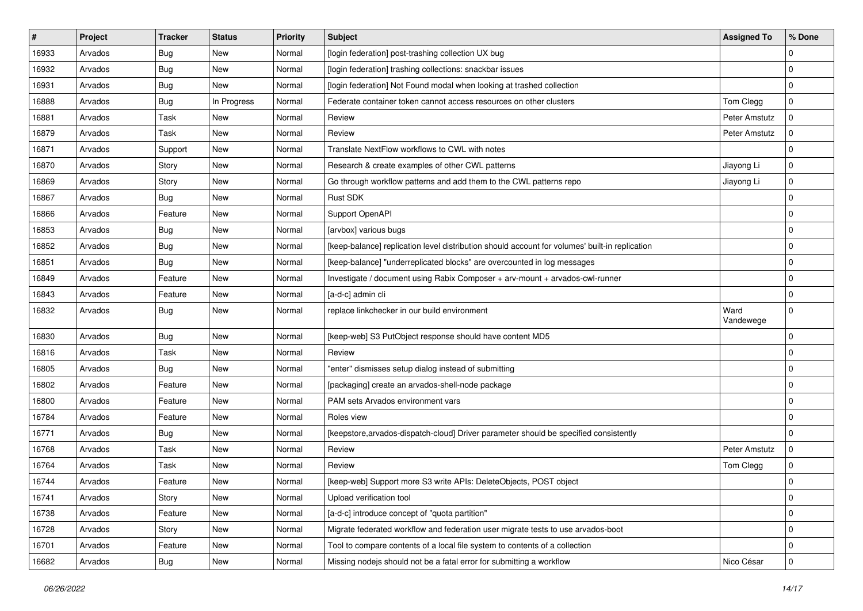| #     | Project | <b>Tracker</b> | <b>Status</b> | <b>Priority</b> | <b>Subject</b>                                                                                 | <b>Assigned To</b> | % Done      |
|-------|---------|----------------|---------------|-----------------|------------------------------------------------------------------------------------------------|--------------------|-------------|
| 16933 | Arvados | <b>Bug</b>     | New           | Normal          | [login federation] post-trashing collection UX bug                                             |                    | $\Omega$    |
| 16932 | Arvados | <b>Bug</b>     | <b>New</b>    | Normal          | [login federation] trashing collections: snackbar issues                                       |                    | $\mathbf 0$ |
| 16931 | Arvados | <b>Bug</b>     | <b>New</b>    | Normal          | [login federation] Not Found modal when looking at trashed collection                          |                    | $\mathbf 0$ |
| 16888 | Arvados | <b>Bug</b>     | In Progress   | Normal          | Federate container token cannot access resources on other clusters                             | Tom Clegg          | $\mathbf 0$ |
| 16881 | Arvados | Task           | <b>New</b>    | Normal          | Review                                                                                         | Peter Amstutz      | $\mathbf 0$ |
| 16879 | Arvados | Task           | New           | Normal          | Review                                                                                         | Peter Amstutz      | $\Omega$    |
| 16871 | Arvados | Support        | <b>New</b>    | Normal          | Translate NextFlow workflows to CWL with notes                                                 |                    | $\mathbf 0$ |
| 16870 | Arvados | Story          | <b>New</b>    | Normal          | Research & create examples of other CWL patterns                                               | Jiayong Li         | $\mathbf 0$ |
| 16869 | Arvados | Story          | New           | Normal          | Go through workflow patterns and add them to the CWL patterns repo                             | Jiayong Li         | $\mathbf 0$ |
| 16867 | Arvados | <b>Bug</b>     | New           | Normal          | Rust SDK                                                                                       |                    | $\mathbf 0$ |
| 16866 | Arvados | Feature        | New           | Normal          | Support OpenAPI                                                                                |                    | $\Omega$    |
| 16853 | Arvados | <b>Bug</b>     | <b>New</b>    | Normal          | [arvbox] various bugs                                                                          |                    | 0           |
| 16852 | Arvados | Bug            | New           | Normal          | [keep-balance] replication level distribution should account for volumes' built-in replication |                    | 0           |
| 16851 | Arvados | <b>Bug</b>     | <b>New</b>    | Normal          | [keep-balance] "underreplicated blocks" are overcounted in log messages                        |                    | $\Omega$    |
| 16849 | Arvados | Feature        | <b>New</b>    | Normal          | Investigate / document using Rabix Composer + arv-mount + arvados-cwl-runner                   |                    | 0           |
| 16843 | Arvados | Feature        | New           | Normal          | [a-d-c] admin cli                                                                              |                    | $\Omega$    |
| 16832 | Arvados | Bug            | New           | Normal          | replace linkchecker in our build environment                                                   | Ward<br>Vandewege  | 0           |
| 16830 | Arvados | <b>Bug</b>     | <b>New</b>    | Normal          | [keep-web] S3 PutObject response should have content MD5                                       |                    | $\Omega$    |
| 16816 | Arvados | Task           | New           | Normal          | Review                                                                                         |                    | $\mathbf 0$ |
| 16805 | Arvados | Bug            | New           | Normal          | "enter" dismisses setup dialog instead of submitting                                           |                    | $\mathbf 0$ |
| 16802 | Arvados | Feature        | <b>New</b>    | Normal          | [packaging] create an arvados-shell-node package                                               |                    | $\Omega$    |
| 16800 | Arvados | Feature        | <b>New</b>    | Normal          | PAM sets Arvados environment vars                                                              |                    | 0           |
| 16784 | Arvados | Feature        | New           | Normal          | Roles view                                                                                     |                    | $\Omega$    |
| 16771 | Arvados | <b>Bug</b>     | <b>New</b>    | Normal          | [keepstore, arvados-dispatch-cloud] Driver parameter should be specified consistently          |                    | $\mathbf 0$ |
| 16768 | Arvados | Task           | New           | Normal          | Review                                                                                         | Peter Amstutz      | 0           |
| 16764 | Arvados | Task           | <b>New</b>    | Normal          | Review                                                                                         | Tom Clegg          | $\mathbf 0$ |
| 16744 | Arvados | Feature        | <b>New</b>    | Normal          | [keep-web] Support more S3 write APIs: DeleteObjects, POST object                              |                    | $\Omega$    |
| 16741 | Arvados | Story          | New           | Normal          | Upload verification tool                                                                       |                    | $\mathbf 0$ |
| 16738 | Arvados | Feature        | New           | Normal          | [a-d-c] introduce concept of "quota partition"                                                 |                    | $\mathbf 0$ |
| 16728 | Arvados | Story          | New           | Normal          | Migrate federated workflow and federation user migrate tests to use arvados-boot               |                    | $\mathbf 0$ |
| 16701 | Arvados | Feature        | New           | Normal          | Tool to compare contents of a local file system to contents of a collection                    |                    | 0           |
| 16682 | Arvados | <b>Bug</b>     | New           | Normal          | Missing nodejs should not be a fatal error for submitting a workflow                           | Nico César         | $\mathbf 0$ |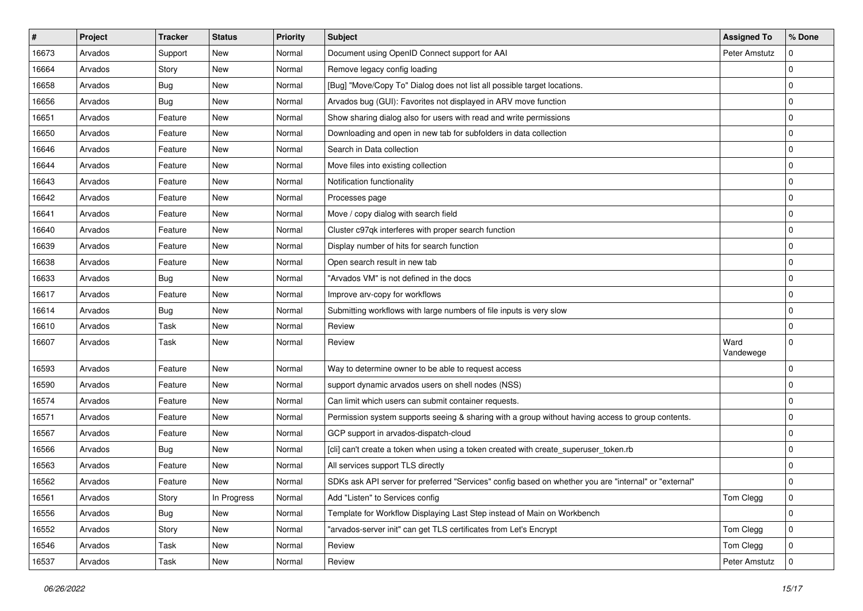| #     | Project | <b>Tracker</b> | <b>Status</b> | <b>Priority</b> | <b>Subject</b>                                                                                        | <b>Assigned To</b> | % Done      |
|-------|---------|----------------|---------------|-----------------|-------------------------------------------------------------------------------------------------------|--------------------|-------------|
| 16673 | Arvados | Support        | New           | Normal          | Document using OpenID Connect support for AAI                                                         | Peter Amstutz      | ∩           |
| 16664 | Arvados | Story          | <b>New</b>    | Normal          | Remove legacy config loading                                                                          |                    | $\Omega$    |
| 16658 | Arvados | <b>Bug</b>     | New           | Normal          | [Bug] "Move/Copy To" Dialog does not list all possible target locations.                              |                    | $\mathbf 0$ |
| 16656 | Arvados | <b>Bug</b>     | New           | Normal          | Arvados bug (GUI): Favorites not displayed in ARV move function                                       |                    | $\Omega$    |
| 16651 | Arvados | Feature        | <b>New</b>    | Normal          | Show sharing dialog also for users with read and write permissions                                    |                    | $\Omega$    |
| 16650 | Arvados | Feature        | New           | Normal          | Downloading and open in new tab for subfolders in data collection                                     |                    | $\Omega$    |
| 16646 | Arvados | Feature        | <b>New</b>    | Normal          | Search in Data collection                                                                             |                    | $\mathbf 0$ |
| 16644 | Arvados | Feature        | New           | Normal          | Move files into existing collection                                                                   |                    | 0           |
| 16643 | Arvados | Feature        | New           | Normal          | Notification functionality                                                                            |                    | $\Omega$    |
| 16642 | Arvados | Feature        | <b>New</b>    | Normal          | Processes page                                                                                        |                    | $\Omega$    |
| 16641 | Arvados | Feature        | <b>New</b>    | Normal          | Move / copy dialog with search field                                                                  |                    | 0           |
| 16640 | Arvados | Feature        | New           | Normal          | Cluster c97qk interferes with proper search function                                                  |                    | 0           |
| 16639 | Arvados | Feature        | New           | Normal          | Display number of hits for search function                                                            |                    | 0           |
| 16638 | Arvados | Feature        | New           | Normal          | Open search result in new tab                                                                         |                    | $\Omega$    |
| 16633 | Arvados | <b>Bug</b>     | <b>New</b>    | Normal          | "Arvados VM" is not defined in the docs                                                               |                    | $\Omega$    |
| 16617 | Arvados | Feature        | <b>New</b>    | Normal          | Improve arv-copy for workflows                                                                        |                    | 0           |
| 16614 | Arvados | <b>Bug</b>     | New           | Normal          | Submitting workflows with large numbers of file inputs is very slow                                   |                    | $\Omega$    |
| 16610 | Arvados | Task           | <b>New</b>    | Normal          | Review                                                                                                |                    | $\mathbf 0$ |
| 16607 | Arvados | Task           | New           | Normal          | Review                                                                                                | Ward<br>Vandewege  | $\Omega$    |
| 16593 | Arvados | Feature        | New           | Normal          | Way to determine owner to be able to request access                                                   |                    | 0           |
| 16590 | Arvados | Feature        | New           | Normal          | support dynamic arvados users on shell nodes (NSS)                                                    |                    | $\Omega$    |
| 16574 | Arvados | Feature        | <b>New</b>    | Normal          | Can limit which users can submit container requests.                                                  |                    | $\Omega$    |
| 16571 | Arvados | Feature        | <b>New</b>    | Normal          | Permission system supports seeing & sharing with a group without having access to group contents.     |                    | 0           |
| 16567 | Arvados | Feature        | New           | Normal          | GCP support in arvados-dispatch-cloud                                                                 |                    | $\mathbf 0$ |
| 16566 | Arvados | <b>Bug</b>     | <b>New</b>    | Normal          | [cli] can't create a token when using a token created with create_superuser_token.rb                  |                    | 0           |
| 16563 | Arvados | Feature        | New           | Normal          | All services support TLS directly                                                                     |                    | $\Omega$    |
| 16562 | Arvados | Feature        | <b>New</b>    | Normal          | SDKs ask API server for preferred "Services" config based on whether you are "internal" or "external" |                    | $\Omega$    |
| 16561 | Arvados | Story          | In Progress   | Normal          | Add "Listen" to Services config                                                                       | Tom Clegg          | $\mathbf 0$ |
| 16556 | Arvados | <b>Bug</b>     | New           | Normal          | Template for Workflow Displaying Last Step instead of Main on Workbench                               |                    | $\mathbf 0$ |
| 16552 | Arvados | Story          | New           | Normal          | "arvados-server init" can get TLS certificates from Let's Encrypt                                     | Tom Clegg          | $\pmb{0}$   |
| 16546 | Arvados | Task           | New           | Normal          | Review                                                                                                | Tom Clegg          | 0           |
| 16537 | Arvados | Task           | New           | Normal          | Review                                                                                                | Peter Amstutz      | 0           |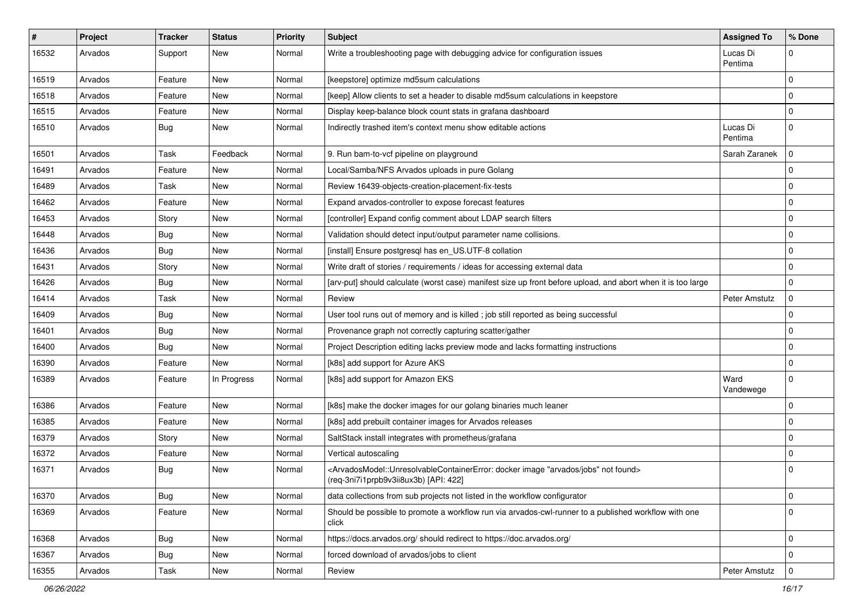| #     | Project | <b>Tracker</b> | <b>Status</b> | <b>Priority</b> | <b>Subject</b>                                                                                                                                                                            | <b>Assigned To</b>  | % Done         |
|-------|---------|----------------|---------------|-----------------|-------------------------------------------------------------------------------------------------------------------------------------------------------------------------------------------|---------------------|----------------|
| 16532 | Arvados | Support        | New           | Normal          | Write a troubleshooting page with debugging advice for configuration issues                                                                                                               | Lucas Di<br>Pentima | $\mathbf 0$    |
| 16519 | Arvados | Feature        | New           | Normal          | [keepstore] optimize md5sum calculations                                                                                                                                                  |                     | $\mathbf 0$    |
| 16518 | Arvados | Feature        | New           | Normal          | [keep] Allow clients to set a header to disable md5sum calculations in keepstore                                                                                                          |                     | $\mathbf 0$    |
| 16515 | Arvados | Feature        | New           | Normal          | Display keep-balance block count stats in grafana dashboard                                                                                                                               |                     | $\mathbf 0$    |
| 16510 | Arvados | <b>Bug</b>     | New           | Normal          | Indirectly trashed item's context menu show editable actions                                                                                                                              | Lucas Di<br>Pentima | $\mathbf 0$    |
| 16501 | Arvados | Task           | Feedback      | Normal          | 9. Run bam-to-vcf pipeline on playground                                                                                                                                                  | Sarah Zaranek       | $\mathbf 0$    |
| 16491 | Arvados | Feature        | New           | Normal          | Local/Samba/NFS Arvados uploads in pure Golang                                                                                                                                            |                     | $\Omega$       |
| 16489 | Arvados | Task           | New           | Normal          | Review 16439-objects-creation-placement-fix-tests                                                                                                                                         |                     | $\Omega$       |
| 16462 | Arvados | Feature        | New           | Normal          | Expand arvados-controller to expose forecast features                                                                                                                                     |                     | $\Omega$       |
| 16453 | Arvados | Story          | New           | Normal          | [controller] Expand config comment about LDAP search filters                                                                                                                              |                     | $\mathbf 0$    |
| 16448 | Arvados | <b>Bug</b>     | New           | Normal          | Validation should detect input/output parameter name collisions.                                                                                                                          |                     | 0              |
| 16436 | Arvados | <b>Bug</b>     | New           | Normal          | [install] Ensure postgresql has en_US.UTF-8 collation                                                                                                                                     |                     | 0              |
| 16431 | Arvados | Story          | New           | Normal          | Write draft of stories / requirements / ideas for accessing external data                                                                                                                 |                     | 0              |
| 16426 | Arvados | Bug            | New           | Normal          | [arv-put] should calculate (worst case) manifest size up front before upload, and abort when it is too large                                                                              |                     | $\mathbf 0$    |
| 16414 | Arvados | Task           | New           | Normal          | Review                                                                                                                                                                                    | Peter Amstutz       | $\mathbf 0$    |
| 16409 | Arvados | <b>Bug</b>     | New           | Normal          | User tool runs out of memory and is killed; job still reported as being successful                                                                                                        |                     | 0              |
| 16401 | Arvados | Bug            | New           | Normal          | Provenance graph not correctly capturing scatter/gather                                                                                                                                   |                     | $\mathbf 0$    |
| 16400 | Arvados | <b>Bug</b>     | New           | Normal          | Project Description editing lacks preview mode and lacks formatting instructions                                                                                                          |                     | $\Omega$       |
| 16390 | Arvados | Feature        | New           | Normal          | [k8s] add support for Azure AKS                                                                                                                                                           |                     | 0              |
| 16389 | Arvados | Feature        | In Progress   | Normal          | [k8s] add support for Amazon EKS                                                                                                                                                          | Ward<br>Vandewege   | $\mathbf 0$    |
| 16386 | Arvados | Feature        | New           | Normal          | [k8s] make the docker images for our golang binaries much leaner                                                                                                                          |                     | $\mathbf 0$    |
| 16385 | Arvados | Feature        | New           | Normal          | [k8s] add prebuilt container images for Arvados releases                                                                                                                                  |                     | $\overline{0}$ |
| 16379 | Arvados | Story          | New           | Normal          | SaltStack install integrates with prometheus/grafana                                                                                                                                      |                     | 0              |
| 16372 | Arvados | Feature        | New           | Normal          | Vertical autoscaling                                                                                                                                                                      |                     | $\mathbf 0$    |
| 16371 | Arvados | <b>Bug</b>     | New           | Normal          | <arvadosmodel::unresolvablecontainererror: "arvados="" docker="" found="" image="" jobs"="" not=""><br/>(reg-3ni7i1prpb9v3ii8ux3b) [API: 422]</arvadosmodel::unresolvablecontainererror:> |                     | $\Omega$       |
| 16370 | Arvados | <b>Bug</b>     | New           | Normal          | data collections from sub projects not listed in the workflow configurator                                                                                                                |                     | $\mathbf 0$    |
| 16369 | Arvados | Feature        | New           | Normal          | Should be possible to promote a workflow run via arvados-cwl-runner to a published workflow with one<br>click                                                                             |                     | $\Omega$       |
| 16368 | Arvados | <b>Bug</b>     | New           | Normal          | https://docs.arvados.org/ should redirect to https://doc.arvados.org/                                                                                                                     |                     | 0              |
| 16367 | Arvados | <b>Bug</b>     | New           | Normal          | forced download of arvados/jobs to client                                                                                                                                                 |                     | $\mathbf 0$    |
| 16355 | Arvados | Task           | New           | Normal          | Review                                                                                                                                                                                    | Peter Amstutz       | $\Omega$       |